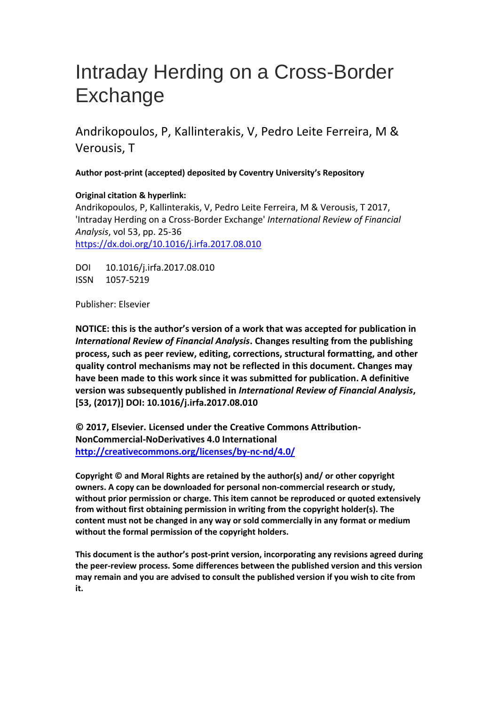# Intraday Herding on a Cross-Border **Exchange**

Andrikopoulos, P, Kallinterakis, V, Pedro Leite Ferreira, M & Verousis, T

**Author post-print (accepted) deposited by Coventry University's Repository**

**Original citation & hyperlink:**

Andrikopoulos, P, Kallinterakis, V, Pedro Leite Ferreira, M & Verousis, T 2017, 'Intraday Herding on a Cross-Border Exchange' *International Review of Financial Analysis*, vol 53, pp. 25-36 https://dx.doi.org/10.1016/j.irfa.2017.08.010

DOI 10.1016/j.irfa.2017.08.010 [ISSN 1057-5219](http://dx.doi.org/10.1016/j.irfa.2017.08.010) 

Publisher: Elsevier

**NOTICE: this is the author's version of a work that was accepted for publication in**  *International Review of Financial Analysis***. Changes resulting from the publishing process, such as peer review, editing, corrections, structural formatting, and other quality control mechanisms may not be reflected in this document. Changes may have been made to this work since it was submitted for publication. A definitive version was subsequently published in** *International Review of Financial Analysis***, [53, (2017)] DOI: 10.1016/j.irfa.2017.08.010** 

**© 2017, Elsevier. Licensed under the Creative Commons Attribution-NonCommercial-NoDerivatives 4.0 International http://creativecommons.org/licenses/by-nc-nd/4.0/**

**Copyright © and Moral Rights are retained by the author(s) and/ or other copyright owners. A copy can be downloaded for personal non-commercial research or study, without prior permission or charge. This item cannot be reproduced or quoted extensively from without first obtaining permission in writing from the copyright holder(s). The content must not be changed in any way or sold commercially in any format or medium without the formal permission of the copyright holders.** 

**This document is the author's post-print version, incorporating any revisions agreed during the peer-review process. Some differences between the published version and this version may remain and you are advised to consult the published version if you wish to cite from it.**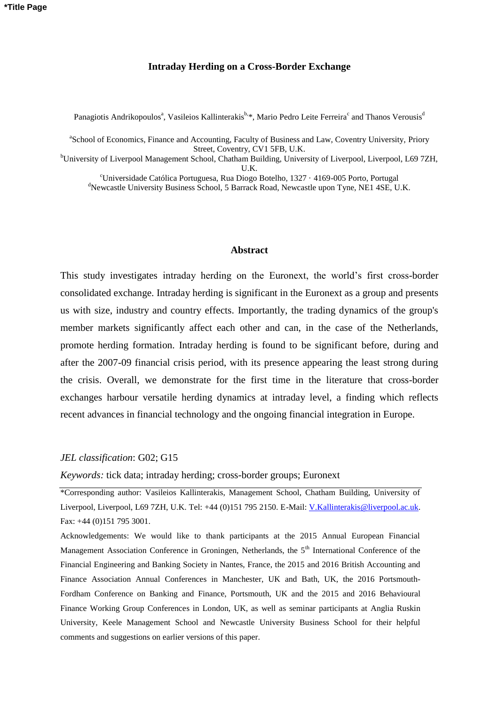#### **Intraday Herding on a Cross-Border Exchange**

Panagiotis Andrikopoulos<sup>a</sup>, Vasileios Kallinterakis<sup>b, \*</sup>, Mario Pedro Leite Ferreira<sup>c</sup> and Thanos Verousis<sup>d</sup>

<sup>a</sup>School of Economics, Finance and Accounting, Faculty of Business and Law, Coventry University, Priory Street, Coventry, CV1 5FB, U.K.

<sup>b</sup>University of Liverpool Management School, Chatham Building, University of Liverpool, Liverpool, L69 7ZH,  $\mathbf{I} \mathbf{K}$ 

<sup>c</sup>Universidade Católica Portuguesa, Rua Diogo Botelho, 1327 · 4169-005 Porto, Portugal <sup>d</sup>Newcastle University Business School, 5 Barrack Road, Newcastle upon Tyne, NE1 4SE, U.K.

#### **Abstract**

This study investigates intraday herding on the Euronext, the world's first cross-border consolidated exchange. Intraday herding is significant in the Euronext as a group and presents us with size, industry and country effects. Importantly, the trading dynamics of the group's member markets significantly affect each other and can, in the case of the Netherlands, promote herding formation. Intraday herding is found to be significant before, during and after the 2007-09 financial crisis period, with its presence appearing the least strong during the crisis. Overall, we demonstrate for the first time in the literature that cross-border exchanges harbour versatile herding dynamics at intraday level, a finding which reflects recent advances in financial technology and the ongoing financial integration in Europe.

#### *JEL classification*: G02; G15

*Keywords:* tick data; intraday herding; cross-border groups; Euronext

\*Corresponding author: Vasileios Kallinterakis, Management School, Chatham Building, University of Liverpool, Liverpool, L69 7ZH, U.K. Tel: +44 (0)151 795 2150. E-Mail: V.Kallinterakis@liverpool.ac.uk. Fax: +44 (0)151 795 3001.

Acknowledgements: We would like to thank participants at the 2015 Annual European Financial Management Association Conference in Groningen, Netherlands, the 5<sup>th</sup> International Conference of the Financial Engineering and Banking Society in Nantes, France, the 2015 and 2016 British Accounting and Finance Association Annual Conferences in Manchester, UK and Bath, UK, the 2016 Portsmouth-Fordham Conference on Banking and Finance, Portsmouth, UK and the 2015 and 2016 Behavioural Finance Working Group Conferences in London, UK, as well as seminar participants at Anglia Ruskin University, Keele Management School and Newcastle University Business School for their helpful comments and suggestions on earlier versions of this paper.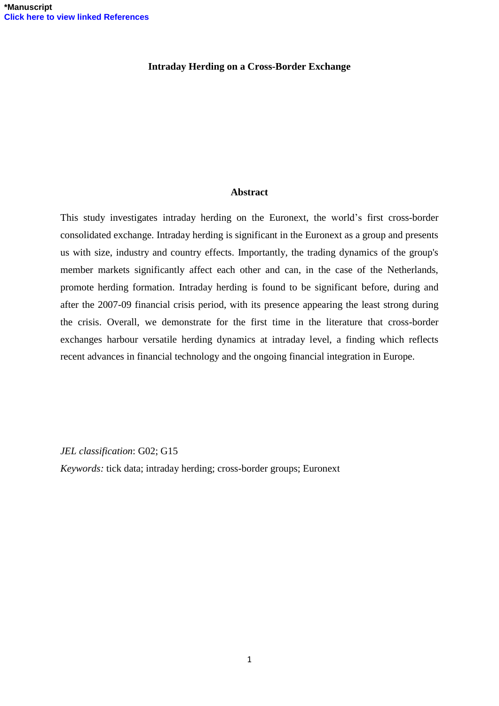## **Intraday Herding on a Cross-Border Exchange**

## **Abstract**

This study investigates intraday herding on the Euronext, the world's first cross-border consolidated exchange. Intraday herding is significant in the Euronext as a group and presents us with size, industry and country effects. Importantly, the trading dynamics of the group's member markets significantly affect each other and can, in the case of the Netherlands, promote herding formation. Intraday herding is found to be significant before, during and after the 2007-09 financial crisis period, with its presence appearing the least strong during the crisis. Overall, we demonstrate for the first time in the literature that cross-border exchanges harbour versatile herding dynamics at intraday level, a finding which reflects recent advances in financial technology and the ongoing financial integration in Europe.

#### *JEL classification*: G02; G15

*Keywords:* tick data; intraday herding; cross-border groups; Euronext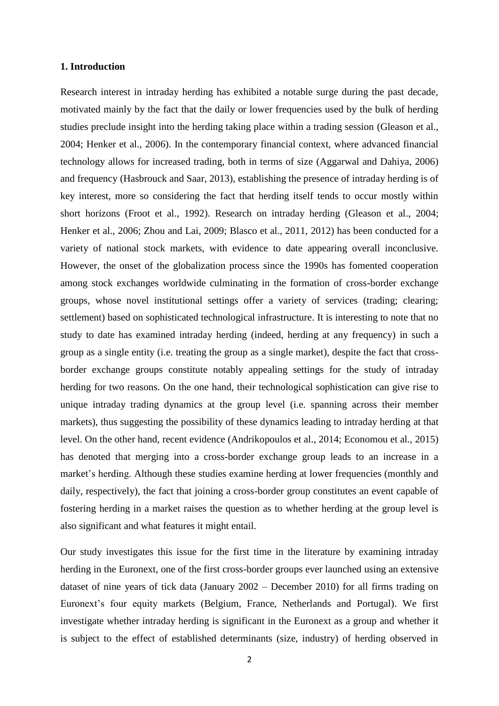#### **1. Introduction**

Research interest in intraday herding has exhibited a notable surge during the past decade, motivated mainly by the fact that the daily or lower frequencies used by the bulk of herding studies preclude insight into the herding taking place within a trading session (Gleason et al., 2004; Henker et al., 2006). In the contemporary financial context, where advanced financial technology allows for increased trading, both in terms of size (Aggarwal and Dahiya, 2006) and frequency (Hasbrouck and Saar, 2013), establishing the presence of intraday herding is of key interest, more so considering the fact that herding itself tends to occur mostly within short horizons (Froot et al., 1992). Research on intraday herding (Gleason et al., 2004; Henker et al., 2006; Zhou and Lai, 2009; Blasco et al., 2011, 2012) has been conducted for a variety of national stock markets, with evidence to date appearing overall inconclusive. However, the onset of the globalization process since the 1990s has fomented cooperation among stock exchanges worldwide culminating in the formation of cross-border exchange groups, whose novel institutional settings offer a variety of services (trading; clearing; settlement) based on sophisticated technological infrastructure. It is interesting to note that no study to date has examined intraday herding (indeed, herding at any frequency) in such a group as a single entity (i.e. treating the group as a single market), despite the fact that crossborder exchange groups constitute notably appealing settings for the study of intraday herding for two reasons. On the one hand, their technological sophistication can give rise to unique intraday trading dynamics at the group level (i.e. spanning across their member markets), thus suggesting the possibility of these dynamics leading to intraday herding at that level. On the other hand, recent evidence (Andrikopoulos et al., 2014; Economou et al., 2015) has denoted that merging into a cross-border exchange group leads to an increase in a market's herding. Although these studies examine herding at lower frequencies (monthly and daily, respectively), the fact that joining a cross-border group constitutes an event capable of fostering herding in a market raises the question as to whether herding at the group level is also significant and what features it might entail.

Our study investigates this issue for the first time in the literature by examining intraday herding in the Euronext, one of the first cross-border groups ever launched using an extensive dataset of nine years of tick data (January 2002 – December 2010) for all firms trading on Euronext's four equity markets (Belgium, France, Netherlands and Portugal). We first investigate whether intraday herding is significant in the Euronext as a group and whether it is subject to the effect of established determinants (size, industry) of herding observed in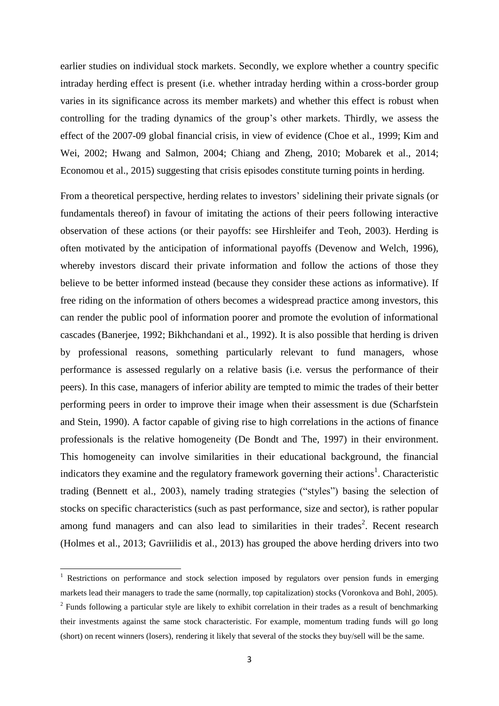earlier studies on individual stock markets. Secondly, we explore whether a country specific intraday herding effect is present (i.e. whether intraday herding within a cross-border group varies in its significance across its member markets) and whether this effect is robust when controlling for the trading dynamics of the group's other markets. Thirdly, we assess the effect of the 2007-09 global financial crisis, in view of evidence (Choe et al., 1999; Kim and Wei, 2002; Hwang and Salmon, 2004; Chiang and Zheng, 2010; Mobarek et al., 2014; Economou et al., 2015) suggesting that crisis episodes constitute turning points in herding.

From a theoretical perspective, herding relates to investors' sidelining their private signals (or fundamentals thereof) in favour of imitating the actions of their peers following interactive observation of these actions (or their payoffs: see Hirshleifer and Teoh, 2003). Herding is often motivated by the anticipation of informational payoffs (Devenow and Welch, 1996), whereby investors discard their private information and follow the actions of those they believe to be better informed instead (because they consider these actions as informative). If free riding on the information of others becomes a widespread practice among investors, this can render the public pool of information poorer and promote the evolution of informational cascades (Banerjee, 1992; Bikhchandani et al., 1992). It is also possible that herding is driven by professional reasons, something particularly relevant to fund managers, whose performance is assessed regularly on a relative basis (i.e. versus the performance of their peers). In this case, managers of inferior ability are tempted to mimic the trades of their better performing peers in order to improve their image when their assessment is due (Scharfstein and Stein, 1990). A factor capable of giving rise to high correlations in the actions of finance professionals is the relative homogeneity (De Bondt and The, 1997) in their environment. This homogeneity can involve similarities in their educational background, the financial indicators they examine and the regulatory framework governing their actions<sup>1</sup>. Characteristic trading (Bennett et al., 2003), namely trading strategies ("styles") basing the selection of stocks on specific characteristics (such as past performance, size and sector), is rather popular among fund managers and can also lead to similarities in their trades<sup>2</sup>. Recent research (Holmes et al., 2013; Gavriilidis et al., 2013) has grouped the above herding drivers into two

<sup>&</sup>lt;sup>1</sup> Restrictions on performance and stock selection imposed by regulators over pension funds in emerging markets lead their managers to trade the same (normally, top capitalization) stocks (Voronkova and Bohl, 2005).  $2$  Funds following a particular style are likely to exhibit correlation in their trades as a result of benchmarking their investments against the same stock characteristic. For example, momentum trading funds will go long (short) on recent winners (losers), rendering it likely that several of the stocks they buy/sell will be the same.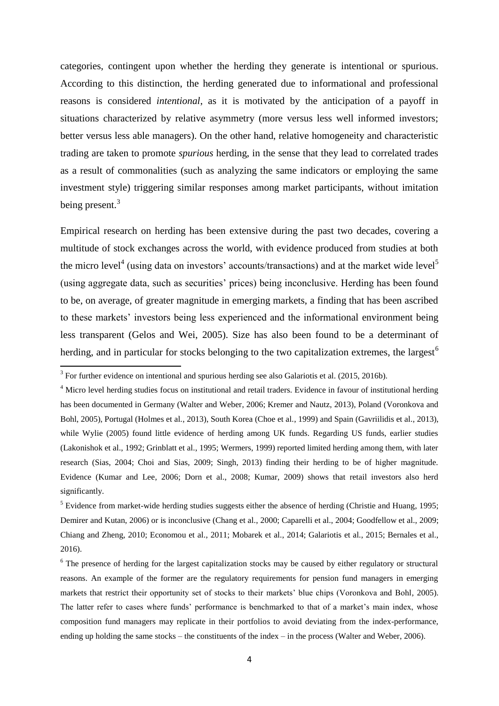categories, contingent upon whether the herding they generate is intentional or spurious. According to this distinction, the herding generated due to informational and professional reasons is considered *intentional*, as it is motivated by the anticipation of a payoff in situations characterized by relative asymmetry (more versus less well informed investors; better versus less able managers). On the other hand, relative homogeneity and characteristic trading are taken to promote *spurious* herding, in the sense that they lead to correlated trades as a result of commonalities (such as analyzing the same indicators or employing the same investment style) triggering similar responses among market participants, without imitation being present.<sup>3</sup>

Empirical research on herding has been extensive during the past two decades, covering a multitude of stock exchanges across the world, with evidence produced from studies at both the micro level<sup>4</sup> (using data on investors' accounts/transactions) and at the market wide level<sup>5</sup> (using aggregate data, such as securities' prices) being inconclusive. Herding has been found to be, on average, of greater magnitude in emerging markets, a finding that has been ascribed to these markets' investors being less experienced and the informational environment being less transparent (Gelos and Wei, 2005). Size has also been found to be a determinant of herding, and in particular for stocks belonging to the two capitalization extremes, the largest<sup>6</sup>

<sup>&</sup>lt;sup>3</sup> For further evidence on intentional and spurious herding see also Galariotis et al. (2015, 2016b).

<sup>&</sup>lt;sup>4</sup> Micro level herding studies focus on institutional and retail traders. Evidence in favour of institutional herding has been documented in Germany (Walter and Weber, 2006; Kremer and Nautz, 2013), Poland (Voronkova and Bohl, 2005), Portugal (Holmes et al., 2013), South Korea (Choe et al., 1999) and Spain (Gavriilidis et al., 2013), while Wylie (2005) found little evidence of herding among UK funds. Regarding US funds, earlier studies (Lakonishok et al., 1992; Grinblatt et al., 1995; Wermers, 1999) reported limited herding among them, with later research (Sias, 2004; Choi and Sias, 2009; Singh, 2013) finding their herding to be of higher magnitude. Evidence (Kumar and Lee, 2006; Dorn et al., 2008; Kumar, 2009) shows that retail investors also herd significantly.

<sup>&</sup>lt;sup>5</sup> Evidence from market-wide herding studies suggests either the absence of herding (Christie and Huang, 1995; Demirer and Kutan, 2006) or is inconclusive (Chang et al., 2000; Caparelli et al., 2004; Goodfellow et al., 2009; Chiang and Zheng, 2010; Economou et al., 2011; Mobarek et al., 2014; Galariotis et al., 2015; Bernales et al., 2016).

<sup>&</sup>lt;sup>6</sup> The presence of herding for the largest capitalization stocks may be caused by either regulatory or structural reasons. An example of the former are the regulatory requirements for pension fund managers in emerging markets that restrict their opportunity set of stocks to their markets' blue chips (Voronkova and Bohl, 2005). The latter refer to cases where funds' performance is benchmarked to that of a market's main index, whose composition fund managers may replicate in their portfolios to avoid deviating from the index-performance, ending up holding the same stocks – the constituents of the index – in the process (Walter and Weber, 2006).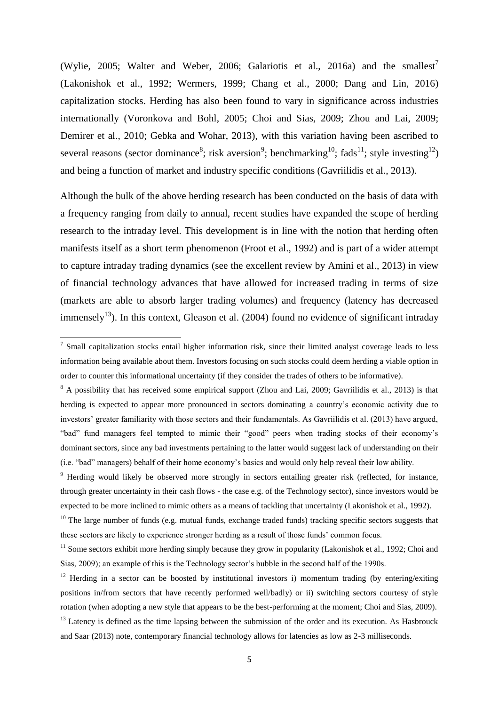(Wylie, 2005; Walter and Weber, 2006; Galariotis et al., 2016a) and the smallest<sup>7</sup> (Lakonishok et al., 1992; Wermers, 1999; Chang et al., 2000; Dang and Lin, 2016) capitalization stocks. Herding has also been found to vary in significance across industries internationally (Voronkova and Bohl, 2005; Choi and Sias, 2009; Zhou and Lai, 2009; Demirer et al., 2010; Gebka and Wohar, 2013), with this variation having been ascribed to several reasons (sector dominance<sup>8</sup>; risk aversion<sup>9</sup>; benchmarking<sup>10</sup>; fads<sup>11</sup>; style investing<sup>12</sup>) and being a function of market and industry specific conditions (Gavriilidis et al., 2013).

Although the bulk of the above herding research has been conducted on the basis of data with a frequency ranging from daily to annual, recent studies have expanded the scope of herding research to the intraday level. This development is in line with the notion that herding often manifests itself as a short term phenomenon (Froot et al., 1992) and is part of a wider attempt to capture intraday trading dynamics (see the excellent review by Amini et al., 2013) in view of financial technology advances that have allowed for increased trading in terms of size (markets are able to absorb larger trading volumes) and frequency (latency has decreased immensely<sup>13</sup>). In this context, Gleason et al. (2004) found no evidence of significant intraday

<sup>&</sup>lt;sup>7</sup> Small capitalization stocks entail higher information risk, since their limited analyst coverage leads to less information being available about them. Investors focusing on such stocks could deem herding a viable option in order to counter this informational uncertainty (if they consider the trades of others to be informative).

<sup>&</sup>lt;sup>8</sup> A possibility that has received some empirical support (Zhou and Lai, 2009; Gavriilidis et al., 2013) is that herding is expected to appear more pronounced in sectors dominating a country's economic activity due to investors' greater familiarity with those sectors and their fundamentals. As Gavriilidis et al. (2013) have argued, "bad" fund managers feel tempted to mimic their "good" peers when trading stocks of their economy's dominant sectors, since any bad investments pertaining to the latter would suggest lack of understanding on their (i.e. "bad" managers) behalf of their home economy's basics and would only help reveal their low ability.

<sup>&</sup>lt;sup>9</sup> Herding would likely be observed more strongly in sectors entailing greater risk (reflected, for instance, through greater uncertainty in their cash flows - the case e.g. of the Technology sector), since investors would be expected to be more inclined to mimic others as a means of tackling that uncertainty (Lakonishok et al., 1992).

 $10$  The large number of funds (e.g. mutual funds, exchange traded funds) tracking specific sectors suggests that these sectors are likely to experience stronger herding as a result of those funds' common focus.

 $11$  Some sectors exhibit more herding simply because they grow in popularity (Lakonishok et al., 1992; Choi and Sias, 2009); an example of this is the Technology sector's bubble in the second half of the 1990s.

<sup>&</sup>lt;sup>12</sup> Herding in a sector can be boosted by institutional investors i) momentum trading (by entering/exiting positions in/from sectors that have recently performed well/badly) or ii) switching sectors courtesy of style rotation (when adopting a new style that appears to be the best-performing at the moment; Choi and Sias, 2009).

<sup>&</sup>lt;sup>13</sup> Latency is defined as the time lapsing between the submission of the order and its execution. As Hasbrouck and Saar (2013) note, contemporary financial technology allows for latencies as low as 2-3 milliseconds.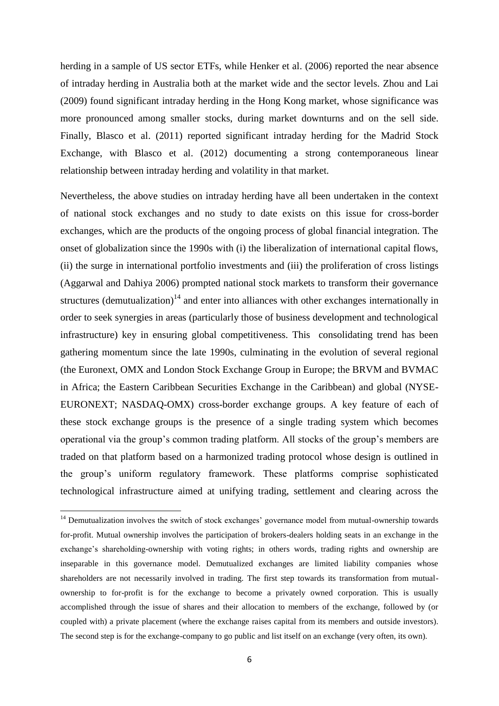herding in a sample of US sector ETFs, while Henker et al. (2006) reported the near absence of intraday herding in Australia both at the market wide and the sector levels. Zhou and Lai (2009) found significant intraday herding in the Hong Kong market, whose significance was more pronounced among smaller stocks, during market downturns and on the sell side. Finally, Blasco et al. (2011) reported significant intraday herding for the Madrid Stock Exchange, with Blasco et al. (2012) documenting a strong contemporaneous linear relationship between intraday herding and volatility in that market.

Nevertheless, the above studies on intraday herding have all been undertaken in the context of national stock exchanges and no study to date exists on this issue for cross-border exchanges, which are the products of the ongoing process of global financial integration. The onset of globalization since the 1990s with (i) the liberalization of international capital flows, (ii) the surge in international portfolio investments and (iii) the proliferation of cross listings (Aggarwal and Dahiya 2006) prompted national stock markets to transform their governance structures (demutualization)<sup>14</sup> and enter into alliances with other exchanges internationally in order to seek synergies in areas (particularly those of business development and technological infrastructure) key in ensuring global competitiveness. This consolidating trend has been gathering momentum since the late 1990s, culminating in the evolution of several regional (the Euronext, OMX and London Stock Exchange Group in Europe; the BRVM and BVMAC in Africa; the Eastern Caribbean Securities Exchange in the Caribbean) and global (NYSE-EURONEXT; NASDAQ-OMX) cross-border exchange groups. A key feature of each of these stock exchange groups is the presence of a single trading system which becomes operational via the group's common trading platform. All stocks of the group's members are traded on that platform based on a harmonized trading protocol whose design is outlined in the group's uniform regulatory framework. These platforms comprise sophisticated technological infrastructure aimed at unifying trading, settlement and clearing across the

<sup>&</sup>lt;sup>14</sup> Demutualization involves the switch of stock exchanges' governance model from mutual-ownership towards for-profit. Mutual ownership involves the participation of brokers-dealers holding seats in an exchange in the exchange's shareholding-ownership with voting rights; in others words, trading rights and ownership are inseparable in this governance model. Demutualized exchanges are limited liability companies whose shareholders are not necessarily involved in trading. The first step towards its transformation from mutualownership to for-profit is for the exchange to become a privately owned corporation. This is usually accomplished through the issue of shares and their allocation to members of the exchange, followed by (or coupled with) a private placement (where the exchange raises capital from its members and outside investors). The second step is for the exchange-company to go public and list itself on an exchange (very often, its own).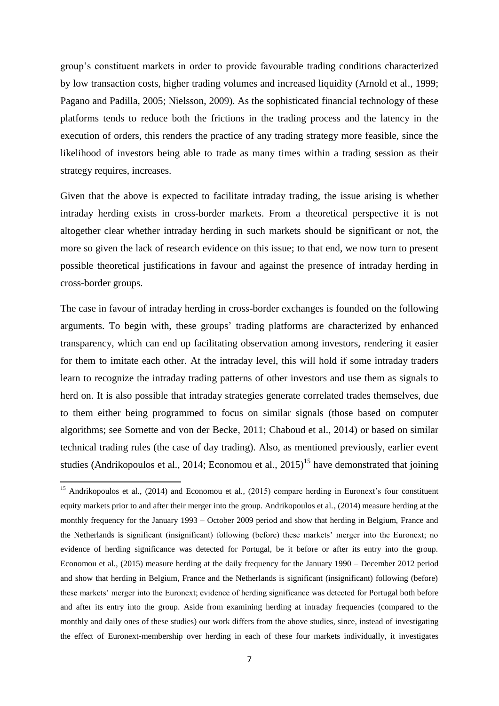group's constituent markets in order to provide favourable trading conditions characterized by low transaction costs, higher trading volumes and increased liquidity (Arnold et al., 1999; Pagano and Padilla, 2005; Nielsson, 2009). As the sophisticated financial technology of these platforms tends to reduce both the frictions in the trading process and the latency in the execution of orders, this renders the practice of any trading strategy more feasible, since the likelihood of investors being able to trade as many times within a trading session as their strategy requires, increases.

Given that the above is expected to facilitate intraday trading, the issue arising is whether intraday herding exists in cross-border markets. From a theoretical perspective it is not altogether clear whether intraday herding in such markets should be significant or not, the more so given the lack of research evidence on this issue; to that end, we now turn to present possible theoretical justifications in favour and against the presence of intraday herding in cross-border groups.

The case in favour of intraday herding in cross-border exchanges is founded on the following arguments. To begin with, these groups' trading platforms are characterized by enhanced transparency, which can end up facilitating observation among investors, rendering it easier for them to imitate each other. At the intraday level, this will hold if some intraday traders learn to recognize the intraday trading patterns of other investors and use them as signals to herd on. It is also possible that intraday strategies generate correlated trades themselves, due to them either being programmed to focus on similar signals (those based on computer algorithms; see Sornette and von der Becke, 2011; Chaboud et al., 2014) or based on similar technical trading rules (the case of day trading). Also, as mentioned previously, earlier event studies (Andrikopoulos et al., 2014; Economou et al., 2015)<sup>15</sup> have demonstrated that joining

<sup>&</sup>lt;sup>15</sup> Andrikopoulos et al., (2014) and Economou et al., (2015) compare herding in Euronext's four constituent equity markets prior to and after their merger into the group. Andrikopoulos et al., (2014) measure herding at the monthly frequency for the January 1993 – October 2009 period and show that herding in Belgium, France and the Netherlands is significant (insignificant) following (before) these markets' merger into the Euronext; no evidence of herding significance was detected for Portugal, be it before or after its entry into the group. Economou et al., (2015) measure herding at the daily frequency for the January 1990 – December 2012 period and show that herding in Belgium, France and the Netherlands is significant (insignificant) following (before) these markets' merger into the Euronext; evidence of herding significance was detected for Portugal both before and after its entry into the group. Aside from examining herding at intraday frequencies (compared to the monthly and daily ones of these studies) our work differs from the above studies, since, instead of investigating the effect of Euronext-membership over herding in each of these four markets individually, it investigates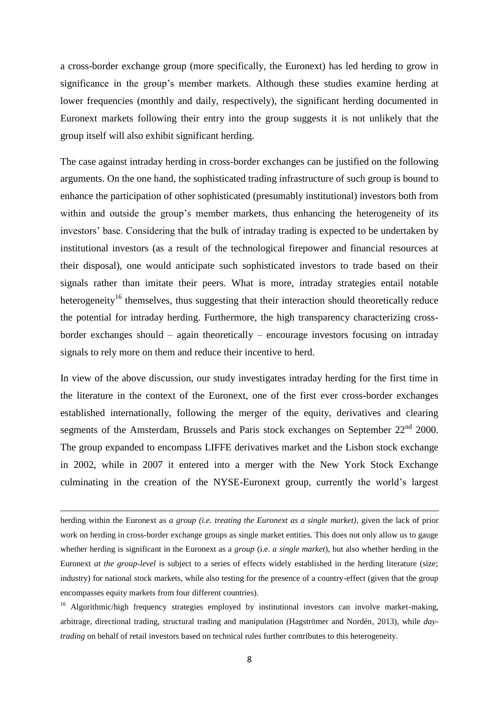a cross-border exchange group (more specifically, the Euronext) has led herding to grow in significance in the group's member markets. Although these studies examine herding at lower frequencies (monthly and daily, respectively), the significant herding documented in Euronext markets following their entry into the group suggests it is not unlikely that the group itself will also exhibit significant herding.

The case against intraday herding in cross-border exchanges can be justified on the following arguments. On the one hand, the sophisticated trading infrastructure of such group is bound to enhance the participation of other sophisticated (presumably institutional) investors both from within and outside the group's member markets, thus enhancing the heterogeneity of its investors' base. Considering that the bulk of intraday trading is expected to be undertaken by institutional investors (as a result of the technological firepower and financial resources at their disposal), one would anticipate such sophisticated investors to trade based on their signals rather than imitate their peers. What is more, intraday strategies entail notable heterogeneity<sup>16</sup> themselves, thus suggesting that their interaction should theoretically reduce the potential for intraday herding. Furthermore, the high transparency characterizing crossborder exchanges should – again theoretically – encourage investors focusing on intraday signals to rely more on them and reduce their incentive to herd.

In view of the above discussion, our study investigates intraday herding for the first time in the literature in the context of the Euronext, one of the first ever cross-border exchanges established internationally, following the merger of the equity, derivatives and clearing segments of the Amsterdam, Brussels and Paris stock exchanges on September  $22<sup>nd</sup>$  2000. The group expanded to encompass LIFFE derivatives market and the Lisbon stock exchange in 2002, while in 2007 it entered into a merger with the New York Stock Exchange culminating in the creation of the NYSE-Euronext group, currently the world's largest

herding within the Euronext as *a group (i.e. treating the Euronext as a single market)*, given the lack of prior work on herding in cross-border exchange groups as single market entities. This does not only allow us to gauge whether herding is significant in the Euronext as a *group* (i.e. *a single market*), but also whether herding in the Euronext *at the group-level* is subject to a series of effects widely established in the herding literature (size; industry) for national stock markets, while also testing for the presence of a country-effect (given that the group encompasses equity markets from four different countries).

<sup>&</sup>lt;sup>16</sup> Algorithmic/high frequency strategies employed by institutional investors can involve market-making, arbitrage, directional trading, structural trading and manipulation (Hagströmer and Nordén, 2013), while *daytrading* on behalf of retail investors based on technical rules further contributes to this heterogeneity.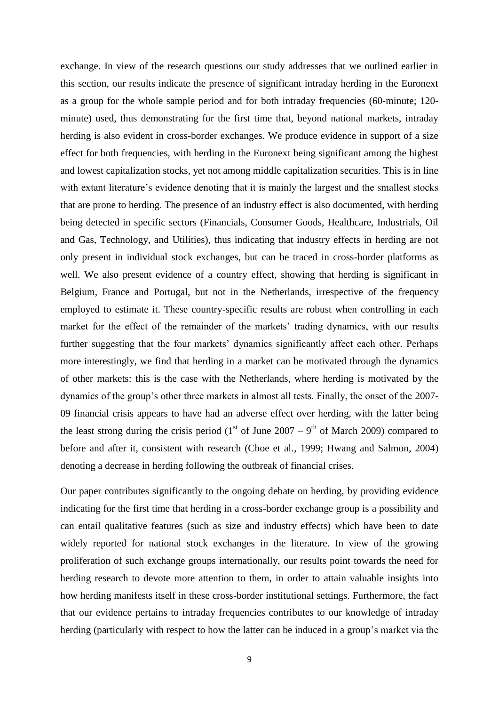exchange. In view of the research questions our study addresses that we outlined earlier in this section, our results indicate the presence of significant intraday herding in the Euronext as a group for the whole sample period and for both intraday frequencies (60-minute; 120 minute) used, thus demonstrating for the first time that, beyond national markets, intraday herding is also evident in cross-border exchanges. We produce evidence in support of a size effect for both frequencies, with herding in the Euronext being significant among the highest and lowest capitalization stocks, yet not among middle capitalization securities. This is in line with extant literature's evidence denoting that it is mainly the largest and the smallest stocks that are prone to herding. The presence of an industry effect is also documented, with herding being detected in specific sectors (Financials, Consumer Goods, Healthcare, Industrials, Oil and Gas, Technology, and Utilities), thus indicating that industry effects in herding are not only present in individual stock exchanges, but can be traced in cross-border platforms as well. We also present evidence of a country effect, showing that herding is significant in Belgium, France and Portugal, but not in the Netherlands, irrespective of the frequency employed to estimate it. These country-specific results are robust when controlling in each market for the effect of the remainder of the markets' trading dynamics, with our results further suggesting that the four markets' dynamics significantly affect each other. Perhaps more interestingly, we find that herding in a market can be motivated through the dynamics of other markets: this is the case with the Netherlands, where herding is motivated by the dynamics of the group's other three markets in almost all tests. Finally, the onset of the 2007- 09 financial crisis appears to have had an adverse effect over herding, with the latter being the least strong during the crisis period (1<sup>st</sup> of June 2007 – 9<sup>th</sup> of March 2009) compared to before and after it, consistent with research (Choe et al., 1999; Hwang and Salmon, 2004) denoting a decrease in herding following the outbreak of financial crises.

Our paper contributes significantly to the ongoing debate on herding, by providing evidence indicating for the first time that herding in a cross-border exchange group is a possibility and can entail qualitative features (such as size and industry effects) which have been to date widely reported for national stock exchanges in the literature. In view of the growing proliferation of such exchange groups internationally, our results point towards the need for herding research to devote more attention to them, in order to attain valuable insights into how herding manifests itself in these cross-border institutional settings. Furthermore, the fact that our evidence pertains to intraday frequencies contributes to our knowledge of intraday herding (particularly with respect to how the latter can be induced in a group's market via the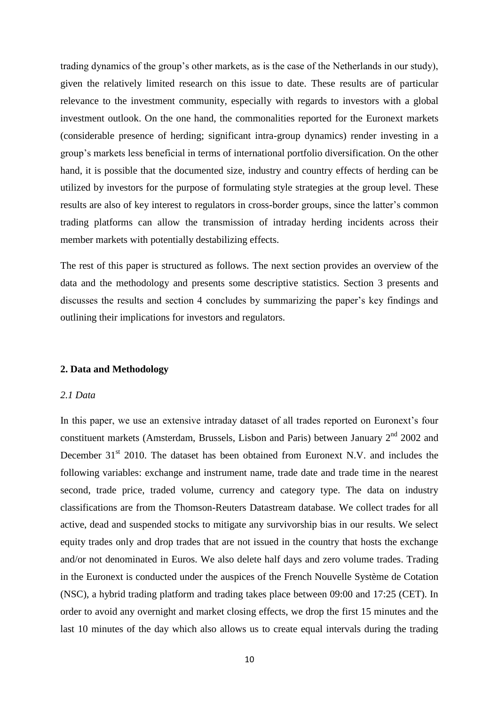trading dynamics of the group's other markets, as is the case of the Netherlands in our study), given the relatively limited research on this issue to date. These results are of particular relevance to the investment community, especially with regards to investors with a global investment outlook. On the one hand, the commonalities reported for the Euronext markets (considerable presence of herding; significant intra-group dynamics) render investing in a group's markets less beneficial in terms of international portfolio diversification. On the other hand, it is possible that the documented size, industry and country effects of herding can be utilized by investors for the purpose of formulating style strategies at the group level. These results are also of key interest to regulators in cross-border groups, since the latter's common trading platforms can allow the transmission of intraday herding incidents across their member markets with potentially destabilizing effects.

The rest of this paper is structured as follows. The next section provides an overview of the data and the methodology and presents some descriptive statistics. Section 3 presents and discusses the results and section 4 concludes by summarizing the paper's key findings and outlining their implications for investors and regulators.

#### **2. Data and Methodology**

#### *2.1 Data*

In this paper, we use an extensive intraday dataset of all trades reported on Euronext's four constituent markets (Amsterdam, Brussels, Lisbon and Paris) between January 2<sup>nd</sup> 2002 and December  $31<sup>st</sup>$  2010. The dataset has been obtained from Euronext N.V. and includes the following variables: exchange and instrument name, trade date and trade time in the nearest second, trade price, traded volume, currency and category type. The data on industry classifications are from the Thomson-Reuters Datastream database. We collect trades for all active, dead and suspended stocks to mitigate any survivorship bias in our results. We select equity trades only and drop trades that are not issued in the country that hosts the exchange and/or not denominated in Euros. We also delete half days and zero volume trades. Trading in the Euronext is conducted under the auspices of the French Nouvelle Système de Cotation (NSC), a hybrid trading platform and trading takes place between 09:00 and 17:25 (CET). In order to avoid any overnight and market closing effects, we drop the first 15 minutes and the last 10 minutes of the day which also allows us to create equal intervals during the trading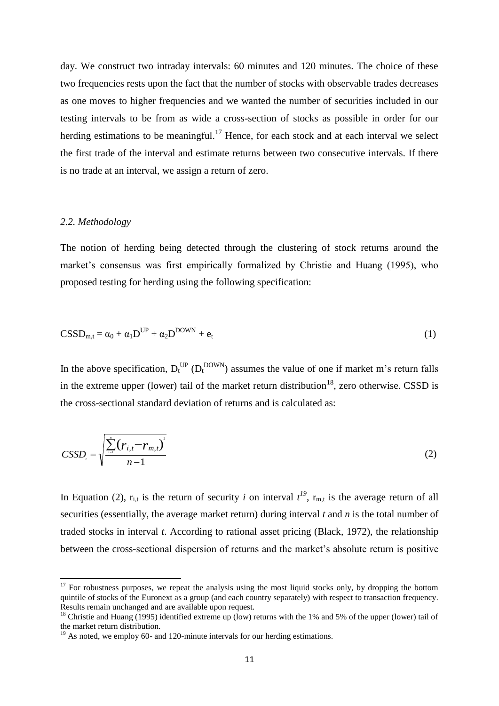day. We construct two intraday intervals: 60 minutes and 120 minutes. The choice of these two frequencies rests upon the fact that the number of stocks with observable trades decreases as one moves to higher frequencies and we wanted the number of securities included in our testing intervals to be from as wide a cross-section of stocks as possible in order for our herding estimations to be meaningful.<sup>17</sup> Hence, for each stock and at each interval we select the first trade of the interval and estimate returns between two consecutive intervals. If there is no trade at an interval, we assign a return of zero.

## *2.2. Methodology*

**.** 

The notion of herding being detected through the clustering of stock returns around the market's consensus was first empirically formalized by Christie and Huang (1995), who proposed testing for herding using the following specification:

$$
CSSD_{m,t} = \alpha_0 + \alpha_1 D^{UP} + \alpha_2 D^{DOWN} + e_t
$$
 (1)

In the above specification,  $D_t^{UP}$  ( $D_t^{DOWN}$ ) assumes the value of one if market m's return falls in the extreme upper (lower) tail of the market return distribution<sup>18</sup>, zero otherwise. CSSD is the cross-sectional standard deviation of returns and is calculated as:

$$
CSSD_{i} = \sqrt{\frac{\sum_{i=1}^{n} (r_{i,t} - r_{m,t})^{2}}{n-1}}
$$
 (2)

In Equation (2),  $r_{i,t}$  is the return of security *i* on interval  $t^{19}$ ,  $r_{m,t}$  is the average return of all securities (essentially, the average market return) during interval *t* and *n* is the total number of traded stocks in interval *t*. According to rational asset pricing (Black, 1972), the relationship between the cross-sectional dispersion of returns and the market's absolute return is positive

 $17$  For robustness purposes, we repeat the analysis using the most liquid stocks only, by dropping the bottom quintile of stocks of the Euronext as a group (and each country separately) with respect to transaction frequency. Results remain unchanged and are available upon request.

<sup>&</sup>lt;sup>18</sup> Christie and Huang (1995) identified extreme up (low) returns with the 1% and 5% of the upper (lower) tail of the market return distribution.

 $19$  As noted, we employ 60- and 120-minute intervals for our herding estimations.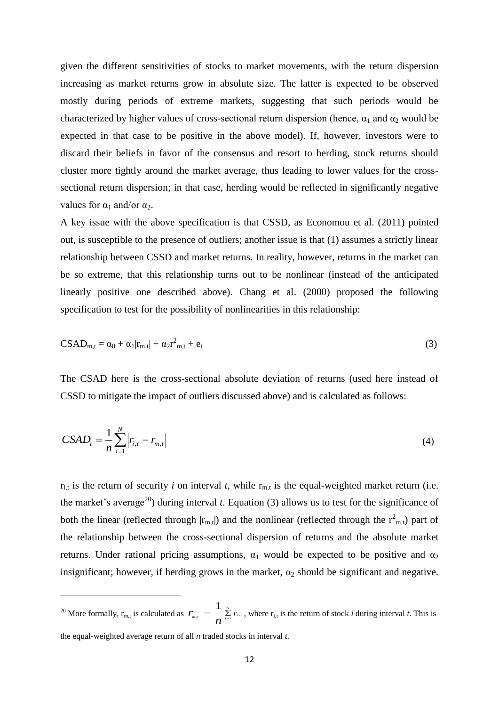given the different sensitivities of stocks to market movements, with the return dispersion increasing as market returns grow in absolute size. The latter is expected to be observed mostly during periods of extreme markets, suggesting that such periods would be characterized by higher values of cross-sectional return dispersion (hence,  $\alpha_1$  and  $\alpha_2$  would be expected in that case to be positive in the above model). If, however, investors were to discard their beliefs in favor of the consensus and resort to herding, stock returns should cluster more tightly around the market average, thus leading to lower values for the crosssectional return dispersion; in that case, herding would be reflected in significantly negative values for  $\alpha_1$  and/or  $\alpha_2$ .

A key issue with the above specification is that CSSD, as Economou et al. (2011) pointed out, is susceptible to the presence of outliers; another issue is that (1) assumes a strictly linear relationship between CSSD and market returns. In reality, however, returns in the market can be so extreme, that this relationship turns out to be nonlinear (instead of the anticipated linearly positive one described above). Chang et al. (2000) proposed the following specification to test for the possibility of nonlinearities in this relationship:

$$
CSAD_{m,t} = \alpha_0 + \alpha_1 |r_{m,t}| + \alpha_2 r^2_{m,t} + e_t
$$
\n(3)

The CSAD here is the cross-sectional absolute deviation of returns (used here instead of CSSD to mitigate the impact of outliers discussed above) and is calculated as follows:

$$
CSAD_{t} = \frac{1}{n} \sum_{i=1}^{N} |r_{i,t} - r_{m,t}|
$$
\n(4)

 $r_{i,t}$  is the return of security *i* on interval *t*, while  $r_{m,t}$  is the equal-weighted market return (i.e. the market's average<sup>20</sup>) during interval *t*. Equation (3) allows us to test for the significance of both the linear (reflected through  $|r_{m,t}|$ ) and the nonlinear (reflected through the  $r_{m,t}^2$ ) part of the relationship between the cross-sectional dispersion of returns and the absolute market returns. Under rational pricing assumptions,  $\alpha_1$  would be expected to be positive and  $\alpha_2$ insignificant; however, if herding grows in the market,  $\alpha_2$  should be significant and negative.

**.** 

<sup>&</sup>lt;sup>20</sup> More formally,  $r_{m,t}$  is calculated as  $r_{m,t} = \frac{1}{\sum_{i=1}^{N} a_i}$  $\frac{d}{dt}$  **i**  $=$   $\frac{1}{n} \sum_{i=1}^{n} r_{i,t}$  $r_{_{m,t}} = \frac{1}{n} \sum_{i=1}^{N} r_i$ 1 , where  $r_{i,t}$  is the return of stock *i* during interval *t*. This is

the equal-weighted average return of all *n* traded stocks in interval *t*.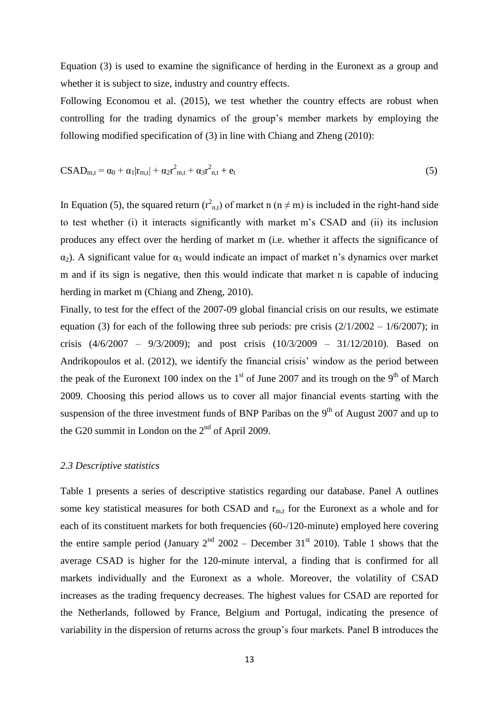Equation (3) is used to examine the significance of herding in the Euronext as a group and whether it is subject to size, industry and country effects.

Following Economou et al. (2015), we test whether the country effects are robust when controlling for the trading dynamics of the group's member markets by employing the following modified specification of (3) in line with Chiang and Zheng (2010):

$$
CSAD_{m,t} = \alpha_0 + \alpha_1 |r_{m,t}| + \alpha_2 r_{m,t}^2 + \alpha_3 r_{n,t}^2 + e_t
$$
\n(5)

In Equation (5), the squared return  $(r<sup>2</sup>_{n,t})$  of market n (n  $\neq$  m) is included in the right-hand side to test whether (i) it interacts significantly with market m's CSAD and (ii) its inclusion produces any effect over the herding of market m (i.e. whether it affects the significance of  $\alpha_2$ ). A significant value for  $\alpha_3$  would indicate an impact of market n's dynamics over market m and if its sign is negative, then this would indicate that market n is capable of inducing herding in market m (Chiang and Zheng, 2010).

Finally, to test for the effect of the 2007-09 global financial crisis on our results, we estimate equation (3) for each of the following three sub periods: pre crisis  $(2/1/2002 - 1/6/2007)$ ; in crisis (4/6/2007 – 9/3/2009); and post crisis (10/3/2009 – 31/12/2010). Based on Andrikopoulos et al. (2012), we identify the financial crisis' window as the period between the peak of the Euronext 100 index on the  $1<sup>st</sup>$  of June 2007 and its trough on the 9<sup>th</sup> of March 2009. Choosing this period allows us to cover all major financial events starting with the suspension of the three investment funds of BNP Paribas on the  $9<sup>th</sup>$  of August 2007 and up to the G20 summit in London on the  $2<sup>nd</sup>$  of April 2009.

#### *2.3 Descriptive statistics*

Table 1 presents a series of descriptive statistics regarding our database. Panel A outlines some key statistical measures for both CSAD and  $r_{m,t}$  for the Euronext as a whole and for each of its constituent markets for both frequencies (60-/120-minute) employed here covering the entire sample period (January  $2<sup>nd</sup>$  2002 – December 31<sup>st</sup> 2010). Table 1 shows that the average CSAD is higher for the 120-minute interval, a finding that is confirmed for all markets individually and the Euronext as a whole. Moreover, the volatility of CSAD increases as the trading frequency decreases. The highest values for CSAD are reported for the Netherlands, followed by France, Belgium and Portugal, indicating the presence of variability in the dispersion of returns across the group's four markets. Panel B introduces the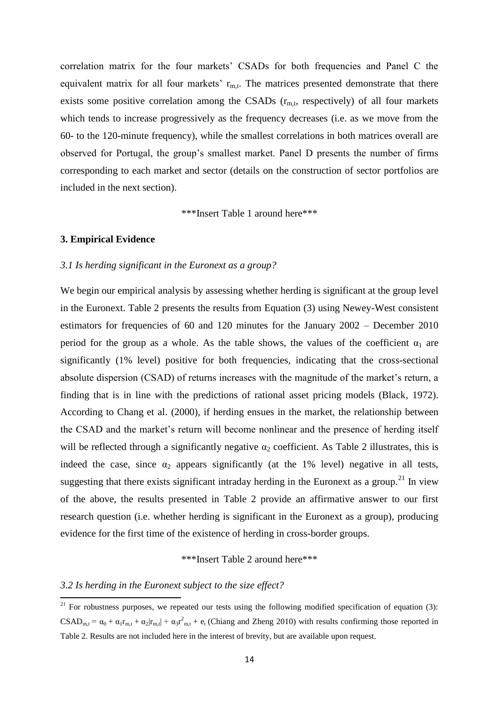correlation matrix for the four markets' CSADs for both frequencies and Panel C the equivalent matrix for all four markets'  $r_{m,t}$ . The matrices presented demonstrate that there exists some positive correlation among the CSADs  $(r_{m,t}$ , respectively) of all four markets which tends to increase progressively as the frequency decreases (i.e. as we move from the 60- to the 120-minute frequency), while the smallest correlations in both matrices overall are observed for Portugal, the group's smallest market. Panel D presents the number of firms corresponding to each market and sector (details on the construction of sector portfolios are included in the next section).

\*\*\*Insert Table 1 around here\*\*\*

## **3. Empirical Evidence**

#### *3.1 Is herding significant in the Euronext as a group?*

We begin our empirical analysis by assessing whether herding is significant at the group level in the Euronext. Table 2 presents the results from Equation (3) using Newey-West consistent estimators for frequencies of 60 and 120 minutes for the January 2002 – December 2010 period for the group as a whole. As the table shows, the values of the coefficient  $\alpha_1$  are significantly (1% level) positive for both frequencies, indicating that the cross-sectional absolute dispersion (CSAD) of returns increases with the magnitude of the market's return, a finding that is in line with the predictions of rational asset pricing models (Black, 1972). According to Chang et al. (2000), if herding ensues in the market, the relationship between the CSAD and the market's return will become nonlinear and the presence of herding itself will be reflected through a significantly negative  $\alpha_2$  coefficient. As Table 2 illustrates, this is indeed the case, since  $\alpha_2$  appears significantly (at the 1% level) negative in all tests, suggesting that there exists significant intraday herding in the Euronext as a group.<sup>21</sup> In view of the above, the results presented in Table 2 provide an affirmative answer to our first research question (i.e. whether herding is significant in the Euronext as a group), producing evidence for the first time of the existence of herding in cross-border groups.

\*\*\*Insert Table 2 around here\*\*\*

#### *3.2 Is herding in the Euronext subject to the size effect?*

 $\overline{a}$ 

 $21$  For robustness purposes, we repeated our tests using the following modified specification of equation (3):  $CSAD_{m,t} = \alpha_0 + \alpha_1 r_{m,t} + \alpha_2 |r_{m,t}| + \alpha_3 r_{m,t}^2 + e_t$  (Chiang and Zheng 2010) with results confirming those reported in Table 2. Results are not included here in the interest of brevity, but are available upon request.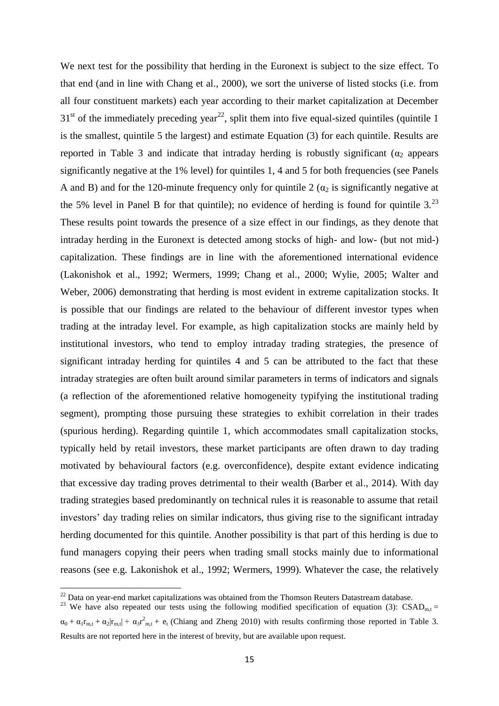We next test for the possibility that herding in the Euronext is subject to the size effect. To that end (and in line with Chang et al., 2000), we sort the universe of listed stocks (i.e. from all four constituent markets) each year according to their market capitalization at December  $31<sup>st</sup>$  of the immediately preceding year<sup>22</sup>, split them into five equal-sized quintiles (quintile 1) is the smallest, quintile 5 the largest) and estimate Equation (3) for each quintile. Results are reported in Table 3 and indicate that intraday herding is robustly significant ( $\alpha_2$  appears significantly negative at the 1% level) for quintiles 1, 4 and 5 for both frequencies (see Panels A and B) and for the 120-minute frequency only for quintile 2 ( $\alpha_2$  is significantly negative at the 5% level in Panel B for that quintile); no evidence of herding is found for quintile  $3.^{23}$ These results point towards the presence of a size effect in our findings, as they denote that intraday herding in the Euronext is detected among stocks of high- and low- (but not mid-) capitalization. These findings are in line with the aforementioned international evidence (Lakonishok et al., 1992; Wermers, 1999; Chang et al., 2000; Wylie, 2005; Walter and Weber, 2006) demonstrating that herding is most evident in extreme capitalization stocks. It is possible that our findings are related to the behaviour of different investor types when trading at the intraday level. For example, as high capitalization stocks are mainly held by institutional investors, who tend to employ intraday trading strategies, the presence of significant intraday herding for quintiles 4 and 5 can be attributed to the fact that these intraday strategies are often built around similar parameters in terms of indicators and signals (a reflection of the aforementioned relative homogeneity typifying the institutional trading segment), prompting those pursuing these strategies to exhibit correlation in their trades (spurious herding). Regarding quintile 1, which accommodates small capitalization stocks, typically held by retail investors, these market participants are often drawn to day trading motivated by behavioural factors (e.g. overconfidence), despite extant evidence indicating that excessive day trading proves detrimental to their wealth (Barber et al., 2014). With day trading strategies based predominantly on technical rules it is reasonable to assume that retail investors' day trading relies on similar indicators, thus giving rise to the significant intraday herding documented for this quintile. Another possibility is that part of this herding is due to fund managers copying their peers when trading small stocks mainly due to informational reasons (see e.g. Lakonishok et al., 1992; Wermers, 1999). Whatever the case, the relatively

**.** 

 $^{22}$  Data on year-end market capitalizations was obtained from the Thomson Reuters Datastream database.

<sup>&</sup>lt;sup>23</sup> We have also repeated our tests using the following modified specification of equation (3):  $\text{CSAD}_{m,t} =$  $\alpha_0 + \alpha_1 r_{m,t} + \alpha_2 |r_{m,t}| + \alpha_3 r_{m,t}^2 + e_t$  (Chiang and Zheng 2010) with results confirming those reported in Table 3. Results are not reported here in the interest of brevity, but are available upon request.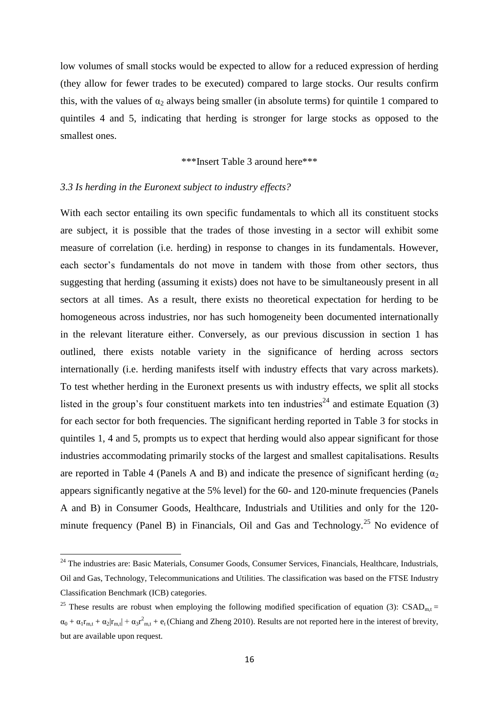low volumes of small stocks would be expected to allow for a reduced expression of herding (they allow for fewer trades to be executed) compared to large stocks. Our results confirm this, with the values of  $\alpha_2$  always being smaller (in absolute terms) for quintile 1 compared to quintiles 4 and 5, indicating that herding is stronger for large stocks as opposed to the smallest ones.

## \*\*\*Insert Table 3 around here\*\*\*

#### *3.3 Is herding in the Euronext subject to industry effects?*

 $\overline{a}$ 

With each sector entailing its own specific fundamentals to which all its constituent stocks are subject, it is possible that the trades of those investing in a sector will exhibit some measure of correlation (i.e. herding) in response to changes in its fundamentals. However, each sector's fundamentals do not move in tandem with those from other sectors, thus suggesting that herding (assuming it exists) does not have to be simultaneously present in all sectors at all times. As a result, there exists no theoretical expectation for herding to be homogeneous across industries, nor has such homogeneity been documented internationally in the relevant literature either. Conversely, as our previous discussion in section 1 has outlined, there exists notable variety in the significance of herding across sectors internationally (i.e. herding manifests itself with industry effects that vary across markets). To test whether herding in the Euronext presents us with industry effects, we split all stocks listed in the group's four constituent markets into ten industries<sup>24</sup> and estimate Equation (3) for each sector for both frequencies. The significant herding reported in Table 3 for stocks in quintiles 1, 4 and 5, prompts us to expect that herding would also appear significant for those industries accommodating primarily stocks of the largest and smallest capitalisations. Results are reported in Table 4 (Panels A and B) and indicate the presence of significant herding ( $\alpha_2$ ) appears significantly negative at the 5% level) for the 60- and 120-minute frequencies (Panels A and B) in Consumer Goods, Healthcare, Industrials and Utilities and only for the 120 minute frequency (Panel B) in Financials, Oil and Gas and Technology.<sup>25</sup> No evidence of

<sup>&</sup>lt;sup>24</sup> The industries are: Basic Materials, Consumer Goods, Consumer Services, Financials, Healthcare, Industrials, Oil and Gas, Technology, Telecommunications and Utilities. The classification was based on the FTSE Industry Classification Benchmark (ICB) categories.

<sup>&</sup>lt;sup>25</sup> These results are robust when employing the following modified specification of equation (3): CSAD<sub>m,t</sub> =  $\alpha_0 + \alpha_1 r_{m,t} + \alpha_2 |r_{m,t}| + \alpha_3 r_{m,t}^2 + e_t$  (Chiang and Zheng 2010). Results are not reported here in the interest of brevity, but are available upon request.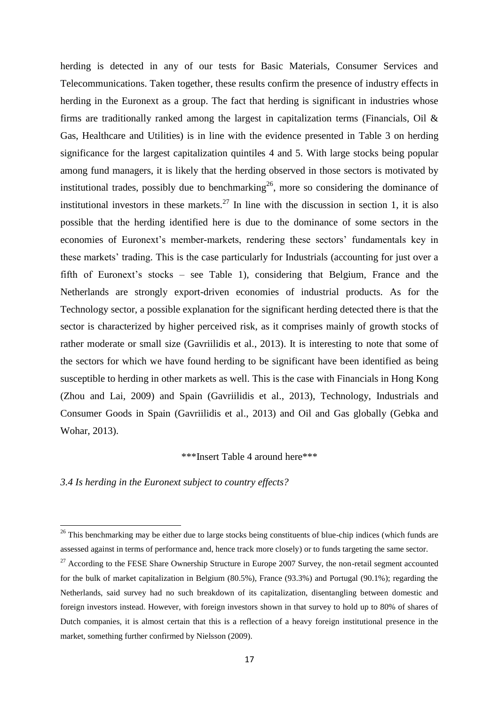herding is detected in any of our tests for Basic Materials, Consumer Services and Telecommunications. Taken together, these results confirm the presence of industry effects in herding in the Euronext as a group. The fact that herding is significant in industries whose firms are traditionally ranked among the largest in capitalization terms (Financials, Oil & Gas, Healthcare and Utilities) is in line with the evidence presented in Table 3 on herding significance for the largest capitalization quintiles 4 and 5. With large stocks being popular among fund managers, it is likely that the herding observed in those sectors is motivated by institutional trades, possibly due to benchmarking<sup>26</sup>, more so considering the dominance of institutional investors in these markets.<sup>27</sup> In line with the discussion in section 1, it is also possible that the herding identified here is due to the dominance of some sectors in the economies of Euronext's member-markets, rendering these sectors' fundamentals key in these markets' trading. This is the case particularly for Industrials (accounting for just over a fifth of Euronext's stocks – see Table 1), considering that Belgium, France and the Netherlands are strongly export-driven economies of industrial products. As for the Technology sector, a possible explanation for the significant herding detected there is that the sector is characterized by higher perceived risk, as it comprises mainly of growth stocks of rather moderate or small size (Gavriilidis et al., 2013). It is interesting to note that some of the sectors for which we have found herding to be significant have been identified as being susceptible to herding in other markets as well. This is the case with Financials in Hong Kong (Zhou and Lai, 2009) and Spain (Gavriilidis et al., 2013), Technology, Industrials and Consumer Goods in Spain (Gavriilidis et al., 2013) and Oil and Gas globally (Gebka and Wohar, 2013).

\*\*\*Insert Table 4 around here\*\*\*

*3.4 Is herding in the Euronext subject to country effects?*

 $26$  This benchmarking may be either due to large stocks being constituents of blue-chip indices (which funds are assessed against in terms of performance and, hence track more closely) or to funds targeting the same sector.

 $27$  According to the FESE Share Ownership Structure in Europe 2007 Survey, the non-retail segment accounted for the bulk of market capitalization in Belgium (80.5%), France (93.3%) and Portugal (90.1%); regarding the Netherlands, said survey had no such breakdown of its capitalization, disentangling between domestic and foreign investors instead. However, with foreign investors shown in that survey to hold up to 80% of shares of Dutch companies, it is almost certain that this is a reflection of a heavy foreign institutional presence in the market, something further confirmed by Nielsson (2009).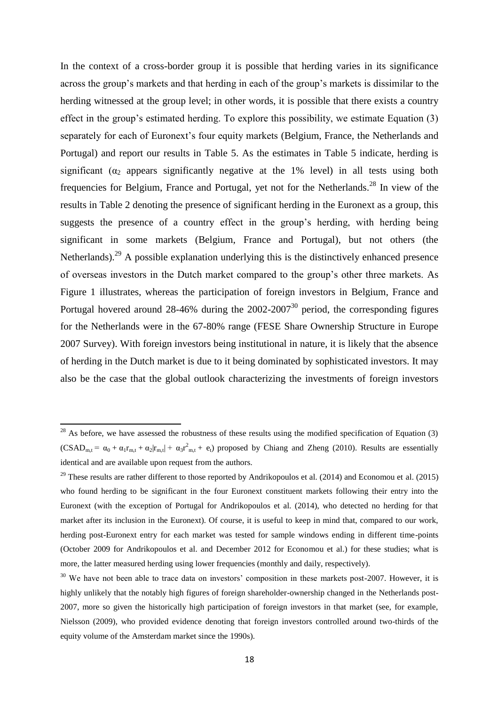In the context of a cross-border group it is possible that herding varies in its significance across the group's markets and that herding in each of the group's markets is dissimilar to the herding witnessed at the group level; in other words, it is possible that there exists a country effect in the group's estimated herding. To explore this possibility, we estimate Equation (3) separately for each of Euronext's four equity markets (Belgium, France, the Netherlands and Portugal) and report our results in Table 5. As the estimates in Table 5 indicate, herding is significant ( $\alpha_2$  appears significantly negative at the 1% level) in all tests using both frequencies for Belgium, France and Portugal, yet not for the Netherlands.<sup>28</sup> In view of the results in Table 2 denoting the presence of significant herding in the Euronext as a group, this suggests the presence of a country effect in the group's herding, with herding being significant in some markets (Belgium, France and Portugal), but not others (the Netherlands).<sup>29</sup> A possible explanation underlying this is the distinctively enhanced presence of overseas investors in the Dutch market compared to the group's other three markets. As Figure 1 illustrates, whereas the participation of foreign investors in Belgium, France and Portugal hovered around 28-46% during the  $2002$ -2007<sup>30</sup> period, the corresponding figures for the Netherlands were in the 67-80% range (FESE Share Ownership Structure in Europe 2007 Survey). With foreign investors being institutional in nature, it is likely that the absence of herding in the Dutch market is due to it being dominated by sophisticated investors. It may also be the case that the global outlook characterizing the investments of foreign investors

 $^{28}$  As before, we have assessed the robustness of these results using the modified specification of Equation (3)  $(CSAD_{m,t} = \alpha_0 + \alpha_1 r_{m,t} + \alpha_2 |r_{m,t}| + \alpha_3 r_{m,t}^2 + e_t)$  proposed by Chiang and Zheng (2010). Results are essentially identical and are available upon request from the authors.

<sup>&</sup>lt;sup>29</sup> These results are rather different to those reported by Andrikopoulos et al. (2014) and Economou et al. (2015) who found herding to be significant in the four Euronext constituent markets following their entry into the Euronext (with the exception of Portugal for Andrikopoulos et al. (2014), who detected no herding for that market after its inclusion in the Euronext). Of course, it is useful to keep in mind that, compared to our work, herding post-Euronext entry for each market was tested for sample windows ending in different time-points (October 2009 for Andrikopoulos et al. and December 2012 for Economou et al.) for these studies; what is more, the latter measured herding using lower frequencies (monthly and daily, respectively).

<sup>&</sup>lt;sup>30</sup> We have not been able to trace data on investors' composition in these markets post-2007. However, it is highly unlikely that the notably high figures of foreign shareholder-ownership changed in the Netherlands post-2007, more so given the historically high participation of foreign investors in that market (see, for example, Nielsson (2009), who provided evidence denoting that foreign investors controlled around two-thirds of the equity volume of the Amsterdam market since the 1990s).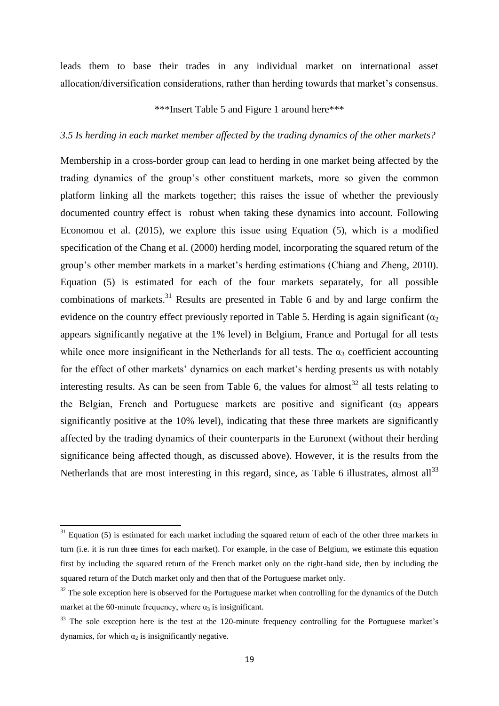leads them to base their trades in any individual market on international asset allocation/diversification considerations, rather than herding towards that market's consensus.

\*\*\*Insert Table 5 and Figure 1 around here\*\*\*

## *3.5 Is herding in each market member affected by the trading dynamics of the other markets?*

Membership in a cross-border group can lead to herding in one market being affected by the trading dynamics of the group's other constituent markets, more so given the common platform linking all the markets together; this raises the issue of whether the previously documented country effect is robust when taking these dynamics into account. Following Economou et al. (2015), we explore this issue using Equation (5), which is a modified specification of the Chang et al. (2000) herding model, incorporating the squared return of the group's other member markets in a market's herding estimations (Chiang and Zheng, 2010). Equation (5) is estimated for each of the four markets separately, for all possible combinations of markets.<sup>31</sup> Results are presented in Table 6 and by and large confirm the evidence on the country effect previously reported in Table 5. Herding is again significant ( $\alpha_2$ ) appears significantly negative at the 1% level) in Belgium, France and Portugal for all tests while once more insignificant in the Netherlands for all tests. The  $\alpha_3$  coefficient accounting for the effect of other markets' dynamics on each market's herding presents us with notably interesting results. As can be seen from Table 6, the values for almost<sup>32</sup> all tests relating to the Belgian, French and Portuguese markets are positive and significant ( $\alpha_3$  appears significantly positive at the 10% level), indicating that these three markets are significantly affected by the trading dynamics of their counterparts in the Euronext (without their herding significance being affected though, as discussed above). However, it is the results from the Netherlands that are most interesting in this regard, since, as Table 6 illustrates, almost all  $33$ 

 $31$  Equation (5) is estimated for each market including the squared return of each of the other three markets in turn (i.e. it is run three times for each market). For example, in the case of Belgium, we estimate this equation first by including the squared return of the French market only on the right-hand side, then by including the squared return of the Dutch market only and then that of the Portuguese market only.

 $32$  The sole exception here is observed for the Portuguese market when controlling for the dynamics of the Dutch market at the 60-minute frequency, where  $\alpha_3$  is insignificant.

<sup>&</sup>lt;sup>33</sup> The sole exception here is the test at the 120-minute frequency controlling for the Portuguese market's dynamics, for which  $\alpha_2$  is insignificantly negative.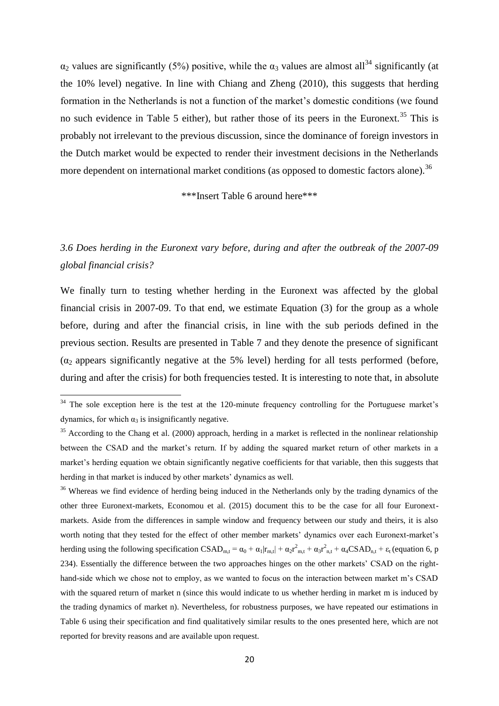$\alpha_2$  values are significantly (5%) positive, while the  $\alpha_3$  values are almost all<sup>34</sup> significantly (at the 10% level) negative. In line with Chiang and Zheng (2010), this suggests that herding formation in the Netherlands is not a function of the market's domestic conditions (we found no such evidence in Table 5 either), but rather those of its peers in the Euronext.<sup>35</sup> This is probably not irrelevant to the previous discussion, since the dominance of foreign investors in the Dutch market would be expected to render their investment decisions in the Netherlands more dependent on international market conditions (as opposed to domestic factors alone).<sup>36</sup>

\*\*\*Insert Table 6 around here\*\*\*

## *3.6 Does herding in the Euronext vary before, during and after the outbreak of the 2007-09 global financial crisis?*

We finally turn to testing whether herding in the Euronext was affected by the global financial crisis in 2007-09. To that end, we estimate Equation (3) for the group as a whole before, during and after the financial crisis, in line with the sub periods defined in the previous section. Results are presented in Table 7 and they denote the presence of significant  $(\alpha_2)$  appears significantly negative at the 5% level) herding for all tests performed (before, during and after the crisis) for both frequencies tested. It is interesting to note that, in absolute

**.** 

 $34$  The sole exception here is the test at the 120-minute frequency controlling for the Portuguese market's dynamics, for which  $\alpha_3$  is insignificantly negative.

<sup>&</sup>lt;sup>35</sup> According to the Chang et al. (2000) approach, herding in a market is reflected in the nonlinear relationship between the CSAD and the market's return. If by adding the squared market return of other markets in a market's herding equation we obtain significantly negative coefficients for that variable, then this suggests that herding in that market is induced by other markets' dynamics as well.

<sup>&</sup>lt;sup>36</sup> Whereas we find evidence of herding being induced in the Netherlands only by the trading dynamics of the other three Euronext-markets, Economou et al. (2015) document this to be the case for all four Euronextmarkets. Aside from the differences in sample window and frequency between our study and theirs, it is also worth noting that they tested for the effect of other member markets' dynamics over each Euronext-market's herding using the following specification  $CSAD_{m,t} = \alpha_0 + \alpha_1 |r_{m,t}| + \alpha_2 r_{m,t}^2 + \alpha_3 r_{n,t}^2 + \alpha_4 CSAD_{n,t} + \epsilon_t$  (equation 6, p 234). Essentially the difference between the two approaches hinges on the other markets' CSAD on the righthand-side which we chose not to employ, as we wanted to focus on the interaction between market m's CSAD with the squared return of market n (since this would indicate to us whether herding in market m is induced by the trading dynamics of market n). Nevertheless, for robustness purposes, we have repeated our estimations in Table 6 using their specification and find qualitatively similar results to the ones presented here, which are not reported for brevity reasons and are available upon request.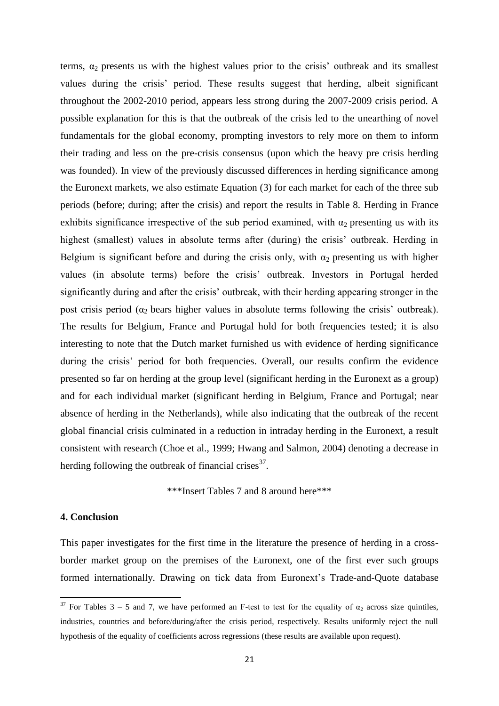terms,  $\alpha_2$  presents us with the highest values prior to the crisis' outbreak and its smallest values during the crisis' period. These results suggest that herding, albeit significant throughout the 2002-2010 period, appears less strong during the 2007-2009 crisis period. A possible explanation for this is that the outbreak of the crisis led to the unearthing of novel fundamentals for the global economy, prompting investors to rely more on them to inform their trading and less on the pre-crisis consensus (upon which the heavy pre crisis herding was founded). In view of the previously discussed differences in herding significance among the Euronext markets, we also estimate Equation (3) for each market for each of the three sub periods (before; during; after the crisis) and report the results in Table 8. Herding in France exhibits significance irrespective of the sub period examined, with  $\alpha_2$  presenting us with its highest (smallest) values in absolute terms after (during) the crisis' outbreak. Herding in Belgium is significant before and during the crisis only, with  $\alpha_2$  presenting us with higher values (in absolute terms) before the crisis' outbreak. Investors in Portugal herded significantly during and after the crisis' outbreak, with their herding appearing stronger in the post crisis period ( $\alpha_2$  bears higher values in absolute terms following the crisis' outbreak). The results for Belgium, France and Portugal hold for both frequencies tested; it is also interesting to note that the Dutch market furnished us with evidence of herding significance during the crisis' period for both frequencies. Overall, our results confirm the evidence presented so far on herding at the group level (significant herding in the Euronext as a group) and for each individual market (significant herding in Belgium, France and Portugal; near absence of herding in the Netherlands), while also indicating that the outbreak of the recent global financial crisis culminated in a reduction in intraday herding in the Euronext, a result consistent with research (Choe et al., 1999; Hwang and Salmon, 2004) denoting a decrease in herding following the outbreak of financial crises $3^7$ .

\*\*\*Insert Tables 7 and 8 around here\*\*\*

## **4. Conclusion**

 $\overline{a}$ 

This paper investigates for the first time in the literature the presence of herding in a crossborder market group on the premises of the Euronext, one of the first ever such groups formed internationally. Drawing on tick data from Euronext's Trade-and-Quote database

<sup>&</sup>lt;sup>37</sup> For Tables 3 – 5 and 7, we have performed an F-test to test for the equality of  $\alpha_2$  across size quintiles, industries, countries and before/during/after the crisis period, respectively. Results uniformly reject the null hypothesis of the equality of coefficients across regressions (these results are available upon request).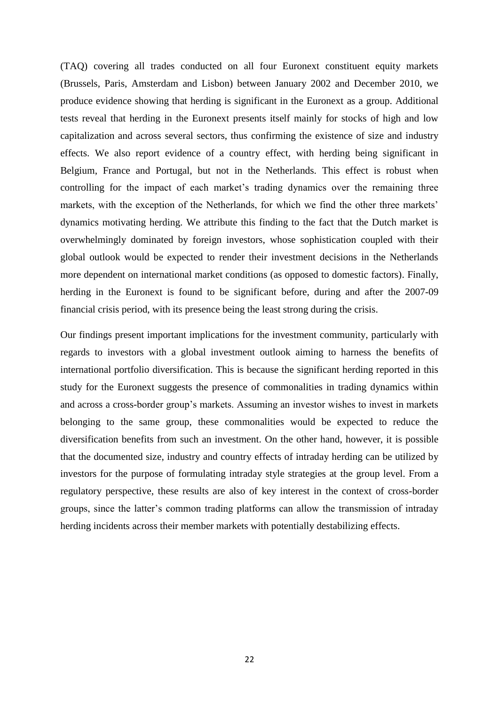(TAQ) covering all trades conducted on all four Euronext constituent equity markets (Brussels, Paris, Amsterdam and Lisbon) between January 2002 and December 2010, we produce evidence showing that herding is significant in the Euronext as a group. Additional tests reveal that herding in the Euronext presents itself mainly for stocks of high and low capitalization and across several sectors, thus confirming the existence of size and industry effects. We also report evidence of a country effect, with herding being significant in Belgium, France and Portugal, but not in the Netherlands. This effect is robust when controlling for the impact of each market's trading dynamics over the remaining three markets, with the exception of the Netherlands, for which we find the other three markets' dynamics motivating herding. We attribute this finding to the fact that the Dutch market is overwhelmingly dominated by foreign investors, whose sophistication coupled with their global outlook would be expected to render their investment decisions in the Netherlands more dependent on international market conditions (as opposed to domestic factors). Finally, herding in the Euronext is found to be significant before, during and after the 2007-09 financial crisis period, with its presence being the least strong during the crisis.

Our findings present important implications for the investment community, particularly with regards to investors with a global investment outlook aiming to harness the benefits of international portfolio diversification. This is because the significant herding reported in this study for the Euronext suggests the presence of commonalities in trading dynamics within and across a cross-border group's markets. Assuming an investor wishes to invest in markets belonging to the same group, these commonalities would be expected to reduce the diversification benefits from such an investment. On the other hand, however, it is possible that the documented size, industry and country effects of intraday herding can be utilized by investors for the purpose of formulating intraday style strategies at the group level. From a regulatory perspective, these results are also of key interest in the context of cross-border groups, since the latter's common trading platforms can allow the transmission of intraday herding incidents across their member markets with potentially destabilizing effects.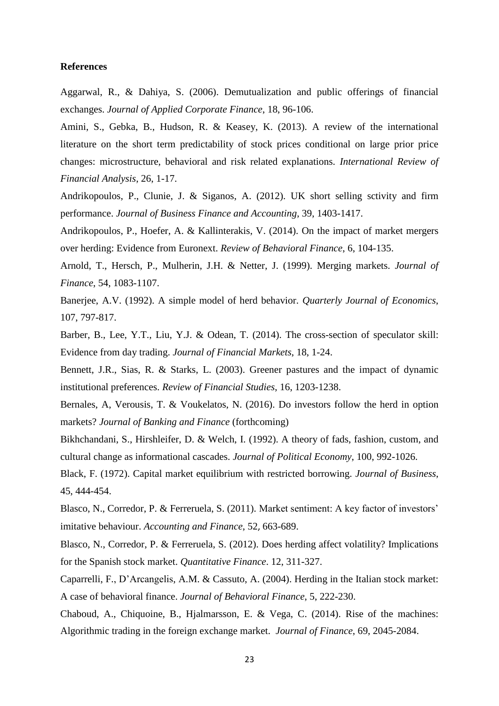#### **References**

Aggarwal, R., & Dahiya, S. (2006). Demutualization and public offerings of financial exchanges. *Journal of Applied Corporate Finance*, 18, 96-106.

Amini, S., Gebka, B., Hudson, R. & Keasey, K. (2013). A review of the international literature on the short term predictability of stock prices conditional on large prior price changes: microstructure, behavioral and risk related explanations. *International Review of Financial Analysis*, 26, 1-17.

Andrikopoulos, P., Clunie, J. & Siganos, A. (2012). UK short selling sctivity and firm performance. *Journal of Business Finance and Accounting*, 39, 1403-1417.

Andrikopoulos, P., Hoefer, A. & Kallinterakis, V. (2014). On the impact of market mergers over herding: Evidence from Euronext. *Review of Behavioral Finance*, 6, 104-135.

Arnold, T., Hersch, P., Mulherin, J.H. & Netter, J. (1999). Merging markets. *Journal of Finance*, 54, 1083-1107.

Banerjee, A.V. (1992). A simple model of herd behavior. *Quarterly Journal of Economics*, 107, 797-817.

Barber, B., Lee, Y.T., Liu, Y.J. & Odean, T. (2014). The cross-section of speculator skill: Evidence from day trading. *Journal of Financial Markets*, 18, 1-24.

Bennett, J.R., Sias, R. & Starks, L. (2003). Greener pastures and the impact of dynamic institutional preferences. *Review of Financial Studies*, 16, 1203-1238.

Bernales, A, Verousis, T. & Voukelatos, N. (2016). Do investors follow the herd in option markets? *Journal of Banking and Finance* (forthcoming)

Bikhchandani, S., Hirshleifer, D. & Welch, I. (1992). A theory of fads, fashion, custom, and cultural change as informational cascades. *Journal of Political Economy*, 100, 992-1026.

Black, F. (1972). Capital market equilibrium with restricted borrowing. *Journal of Business*, 45, 444-454.

Blasco, N., Corredor, P. & Ferreruela, S. (2011). Market sentiment: A key factor of investors' imitative behaviour. *Accounting and Finance*, 52, 663-689.

Blasco, N., Corredor, P. & Ferreruela, S. (2012). Does herding affect volatility? Implications for the Spanish stock market. *Quantitative Finance*. 12, 311-327.

Caparrelli, F., D'Arcangelis, A.M. & Cassuto, A. (2004). Herding in the Italian stock market: A case of behavioral finance. *Journal of Behavioral Finance*, 5, 222-230.

Chaboud, A., Chiquoine, B., Hjalmarsson, E. & Vega, C. (2014). Rise of the machines: Algorithmic trading in the foreign exchange market. *Journal of Finance*, 69, 2045-2084.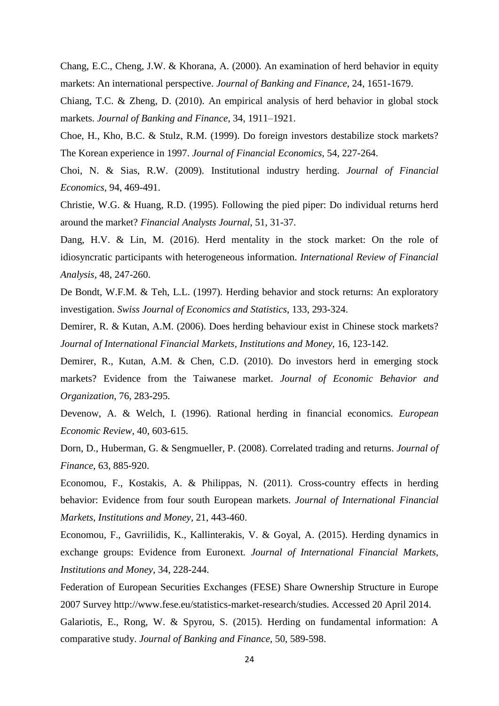Chang, E.C., Cheng, J.W. & Khorana, A. (2000). An examination of herd behavior in equity markets: An international perspective. *Journal of Banking and Finance*, 24, 1651-1679.

Chiang, T.C. & Zheng, D. (2010). An empirical analysis of herd behavior in global stock markets. *Journal of Banking and Finance*, 34, 1911–1921.

Choe, H., Kho, B.C. & Stulz, R.M. (1999). Do foreign investors destabilize stock markets? The Korean experience in 1997. *Journal of Financial Economics*, 54, 227-264.

Choi, N. & Sias, R.W. (2009). Institutional industry herding. *Journal of Financial Economics*, 94, 469-491.

Christie, W.G. & Huang, R.D. (1995). Following the pied piper: Do individual returns herd around the market? *Financial Analysts Journal*, 51, 31-37.

Dang, H.V. & Lin, M. (2016). Herd mentality in the stock market: On the role of idiosyncratic participants with heterogeneous information. *International Review of Financial Analysis*, 48, 247-260.

De Bondt, W.F.M. & Teh, L.L. (1997). Herding behavior and stock returns: An exploratory investigation. *Swiss Journal of Economics and Statistics*, 133, 293-324.

Demirer, R. & Kutan, A.M. (2006). Does herding behaviour exist in Chinese stock markets? *Journal of International Financial Markets, Institutions and Money*, 16, 123-142.

Demirer, R., Kutan, A.M. & Chen, C.D. (2010). Do investors herd in emerging stock markets? Evidence from the Taiwanese market. *Journal of Economic Behavior and Organization*, 76, 283-295.

Devenow, A. & Welch, I. (1996). Rational herding in financial economics. *European Economic Review*, 40, 603-615.

Dorn, D., Huberman, G. & Sengmueller, P. (2008). Correlated trading and returns. *Journal of Finance*, 63, 885-920.

Economou, F., Kostakis, A. & Philippas, N. (2011). Cross-country effects in herding behavior: Evidence from four south European markets. *Journal of International Financial Markets, Institutions and Money,* 21, 443-460.

Economou, F., Gavriilidis, K., Kallinterakis, V. & Goyal, A. (2015). Herding dynamics in exchange groups: Evidence from Euronext. *Journal of International Financial Markets, Institutions and Money*, 34, 228-244.

Federation of European Securities Exchanges (FESE) Share Ownership Structure in Europe 2007 Survey http://www.fese.eu/statistics-market-research/studies. Accessed 20 April 2014. Galariotis, E., Rong, W. & Spyrou, S. (2015). Herding on fundamental information: A comparative study. *Journal of Banking and Finance*, 50, 589-598.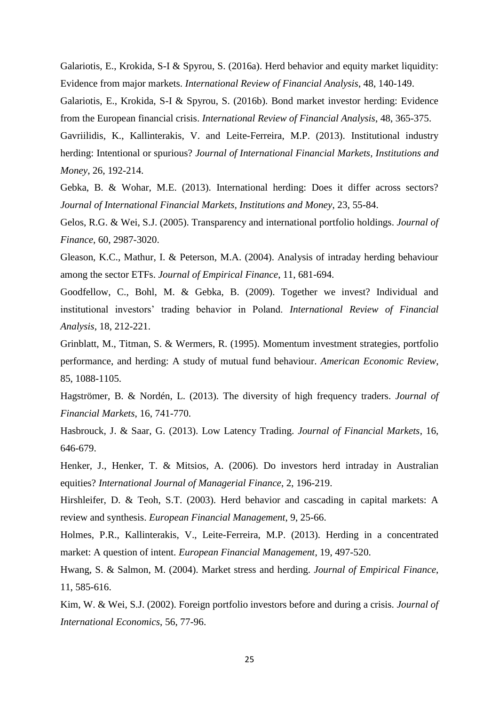Galariotis, E., Krokida, S-I & Spyrou, S. (2016a). Herd behavior and equity market liquidity: Evidence from major markets. *International Review of Financial Analysis*, 48, 140-149.

Galariotis, E., Krokida, S-I & Spyrou, S. (2016b). Bond market investor herding: Evidence from the European financial crisis. *International Review of Financial Analysis*, 48, 365-375.

Gavriilidis, K., Kallinterakis, V. and Leite-Ferreira, M.P. (2013). Institutional industry herding: Intentional or spurious? *Journal of International Financial Markets, Institutions and Money*, 26, 192-214.

Gebka, B. & Wohar, M.E. (2013). International herding: Does it differ across sectors? *Journal of International Financial Markets, Institutions and Money*, 23, 55-84.

Gelos, R.G. & Wei, S.J. (2005). Transparency and international portfolio holdings. *Journal of Finance*, 60, 2987-3020.

Gleason, K.C., Mathur, I. & Peterson, M.A. (2004). Analysis of intraday herding behaviour among the sector ETFs. *Journal of Empirical Finance*, 11, 681-694.

Goodfellow, C., Bohl, M. & Gebka, B. (2009). Together we invest? Individual and institutional investors' trading behavior in Poland. *International Review of Financial Analysis*, 18, 212-221.

Grinblatt, M., Titman, S. & Wermers, R. (1995). Momentum investment strategies, portfolio performance, and herding: A study of mutual fund behaviour. *American Economic Review*, 85, 1088-1105.

Hagströmer, B. & Nordén, L. (2013). The diversity of high frequency traders. *Journal of Financial Markets*, 16, 741-770.

Hasbrouck, J. & Saar, G. (2013). Low Latency Trading. *Journal of Financial Markets*, 16, 646-679.

Henker, J., Henker, T. & Mitsios, A. (2006). Do investors herd intraday in Australian equities? *International Journal of Managerial Finance*, 2, 196-219.

Hirshleifer, D. & Teoh, S.T. (2003). Herd behavior and cascading in capital markets: A review and synthesis. *European Financial Management*, 9, 25-66.

Holmes, P.R., Kallinterakis, V., Leite-Ferreira, M.P. (2013). Herding in a concentrated market: A question of intent. *European Financial Management*, 19, 497-520.

Hwang, S. & Salmon, M. (2004). Market stress and herding. *Journal of Empirical Finance*, 11, 585-616.

Kim, W. & Wei, S.J. (2002). Foreign portfolio investors before and during a crisis. *Journal of International Economics*, 56, 77-96.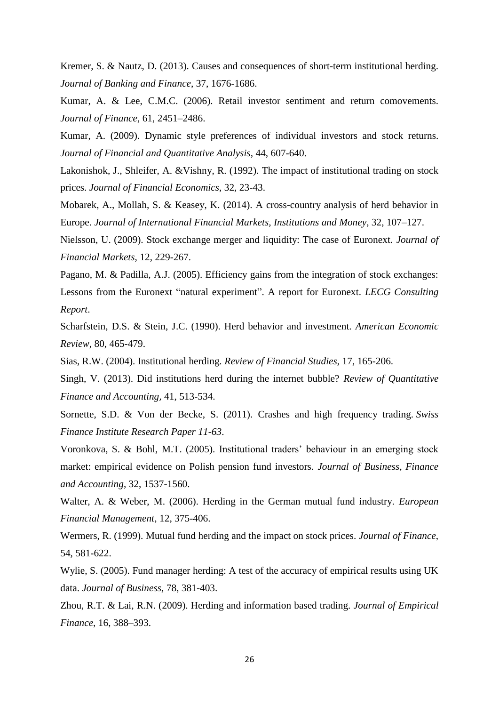Kremer, S. & Nautz, D. (2013). Causes and consequences of short-term institutional herding. *Journal of Banking and Finance*, 37, 1676-1686.

Kumar, A. & Lee, C.M.C. (2006). Retail investor sentiment and return comovements. *Journal of Finance*, 61, 2451–2486.

Kumar, A. (2009). Dynamic style preferences of individual investors and stock returns. *Journal of Financial and Quantitative Analysis*, 44, 607-640.

Lakonishok, J., Shleifer, A. &Vishny, R. (1992). The impact of institutional trading on stock prices. *Journal of Financial Economics*, 32, 23-43.

Mobarek, A., Mollah, S. & Keasey, K. (2014). A cross-country analysis of herd behavior in Europe. *Journal of International Financial Markets, Institutions and Money*, 32, 107–127.

Nielsson, U. (2009). Stock exchange merger and liquidity: The case of Euronext. *Journal of Financial Markets*, 12, 229-267.

Pagano, M. & Padilla, A.J. (2005). Efficiency gains from the integration of stock exchanges: Lessons from the Euronext "natural experiment". A report for Euronext. *LECG Consulting Report*.

Scharfstein, D.S. & Stein, J.C. (1990). Herd behavior and investment. *American Economic Review*, 80, 465-479.

Sias, R.W. (2004). Institutional herding. *Review of Financial Studies*, 17, 165-206.

Singh, V. (2013). Did institutions herd during the internet bubble? *Review of Quantitative Finance and Accounting*, 41, 513-534.

Sornette, S.D. & Von der Becke, S. (2011). Crashes and high frequency trading. *Swiss Finance Institute Research Paper 11-63*.

Voronkova, S. & Bohl, M.T. (2005). Institutional traders' behaviour in an emerging stock market: empirical evidence on Polish pension fund investors. *Journal of Business, Finance and Accounting*, 32, 1537-1560.

Walter, A. & Weber, M. (2006). Herding in the German mutual fund industry. *European Financial Management*, 12, 375-406.

Wermers, R. (1999). Mutual fund herding and the impact on stock prices. *Journal of Finance*, 54, 581-622.

Wylie, S. (2005). Fund manager herding: A test of the accuracy of empirical results using UK data. *Journal of Business*, 78, 381-403.

Zhou, R.T. & Lai, R.N. (2009). Herding and information based trading. *Journal of Empirical Finance*, 16, 388–393.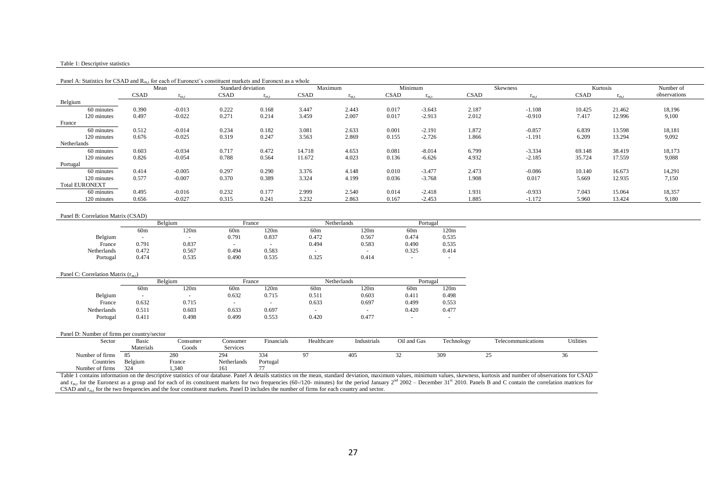#### Table 1: Descriptive statistics

|                       | Mean        |           | Standard deviation |           |             | Maximum   |             | Minimum   |             | Skewness  |             | Kurtosis  | Number of    |
|-----------------------|-------------|-----------|--------------------|-----------|-------------|-----------|-------------|-----------|-------------|-----------|-------------|-----------|--------------|
|                       | <b>CSAD</b> | $r_{m,t}$ | <b>CSAD</b>        | $r_{m.t}$ | <b>CSAD</b> | $r_{m.t}$ | <b>CSAD</b> | $r_{m,t}$ | <b>CSAD</b> | $r_{m,t}$ | <b>CSAD</b> | $r_{m,t}$ | observations |
| Belgium               |             |           |                    |           |             |           |             |           |             |           |             |           |              |
| 60 minutes            | 0.390       | $-0.013$  | 0.222              | 0.168     | 3.447       | 2.443     | 0.017       | $-3.643$  | 2.187       | $-1.108$  | 10.425      | 21.462    | 18,196       |
| 120 minutes           | 0.497       | $-0.022$  | 0.271              | 0.214     | 3.459       | 2.007     | 0.017       | $-2.913$  | 2.012       | $-0.910$  | 7.417       | 12.996    | 9,100        |
| France                |             |           |                    |           |             |           |             |           |             |           |             |           |              |
| 60 minutes            | 0.512       | $-0.014$  | 0.234              | 0.182     | 3.081       | 2.633     | 0.001       | $-2.191$  | 1.872       | $-0.857$  | 6.839       | 13.598    | 18,181       |
| 120 minutes           | 0.676       | $-0.025$  | 0.319              | 0.247     | 3.563       | 2.869     | 0.155       | $-2.726$  | 1.866       | $-1.191$  | 6.209       | 13.294    | 9,092        |
| Netherlands           |             |           |                    |           |             |           |             |           |             |           |             |           |              |
| 60 minutes            | 0.603       | $-0.034$  | 0.717              | 0.472     | 14.718      | 4.653     | 0.081       | $-8.014$  | 6.799       | $-3.334$  | 69.148      | 38.419    | 18,173       |
| 120 minutes           | 0.826       | $-0.054$  | 0.788              | 0.564     | 11.672      | 4.023     | 0.136       | $-6.626$  | 4.932       | $-2.185$  | 35.724      | 17.559    | 9,088        |
| Portugal              |             |           |                    |           |             |           |             |           |             |           |             |           |              |
| 60 minutes            | 0.414       | $-0.005$  | 0.297              | 0.290     | 3.376       | 4.148     | 0.010       | $-3.477$  | 2.473       | $-0.086$  | 10.140      | 16.673    | 14,291       |
| 120 minutes           | 0.577       | $-0.007$  | 0.370              | 0.389     | 3.324       | 4.199     | 0.036       | $-3.768$  | 1.908       | 0.017     | 5.669       | 12.935    | 7,150        |
| <b>Total EURONEXT</b> |             |           |                    |           |             |           |             |           |             |           |             |           |              |
| 60 minutes            | 0.495       | $-0.016$  | 0.232              | 0.177     | 2.999       | 2.540     | 0.014       | $-2.418$  | 1.931       | $-0.933$  | 7.043       | 15.064    | 18,357       |
| 120 minutes           | 0.656       | $-0.027$  | 0.315              | 0.241     | 3.232       | 2.863     | 0.167       | $-2.453$  | 1.885       | $-1.172$  | 5.960       | 13.424    | 9,180        |

#### Panel A: Statistics for CSAD and  $R_m$ , for each of Euronext's constituent markets and Euronext as a whole

#### Panel B: Correlation Matrix (CSAD)

|                    |                 | Belgium | France          |       | Netherlands     |       | Portugal                 |       |
|--------------------|-----------------|---------|-----------------|-------|-----------------|-------|--------------------------|-------|
|                    | 60 <sub>m</sub> | 120m    | 60 <sub>m</sub> | 120m  | 60 <sub>m</sub> | 120m  | 60 <sub>m</sub>          | 120m  |
| Belgium            | -               | -       | 0.791           | 0.837 | 0.472           | 0.567 | 0.474                    | 0.535 |
| France             | 0.791           | 0.837   |                 |       | 0.494           | 0.583 | 0.490                    | 0.535 |
| <b>Netherlands</b> | 0.472           | 0.567   | 0.494           | 0.583 |                 |       | 0.325                    | 0.414 |
| Portugal           | 0.474           | 0.535   | 0.490           | 0.535 | 0.325           | 0.414 | $\overline{\phantom{a}}$ |       |

#### Panel C: Correlation Matrix  $(r<sub>m,t</sub>)$

|             |       | Belgium |       | France |       | Netherlands | Portugal |       |
|-------------|-------|---------|-------|--------|-------|-------------|----------|-------|
|             | 60m   | 120m    | 60m   | 120m   | 60m   | 120m        | 60m      | 120m  |
| Belgium     | -     |         | 0.632 | 0.715  | 0.511 | 0.603       | 0.411    | 0.498 |
| France      | 0.632 | 0.715   | -     |        | 0.633 | 0.697       | 0.499    | 0.553 |
| Netherlands | 0.511 | 0.603   | 0.633 | 0.697  | $\,$  |             | 0.420    | 0.477 |
| Portugal    | 0.411 | 0.498   | 0.499 | 0.553  | 0.420 | 0.477       |          | -     |

#### Panel D: Number of firms per country/sector

| Sector          | Basic     | Consumer | Consumer        | Financials | Healthcare | Industrials | Oil and Gas | Technology | m 1<br>Telecommunications | Utilities |
|-----------------|-----------|----------|-----------------|------------|------------|-------------|-------------|------------|---------------------------|-----------|
|                 | Materials | Goods    | <b>Services</b> |            |            |             |             |            |                           |           |
| Number of firms | 85        | 280      | 294             |            |            | 405         |             | 309        |                           |           |
| Countries       | Belgium   | France   | Netherlands     | Portugal   |            |             |             |            |                           |           |
| Number of firms | 324       | 1,340    | 161             |            |            |             |             |            |                           |           |

Table 1 contains information on the descriptive statistics of our database. Panel A details statistics on the mean, standard deviation, maximum values, minimum values, skewness, kurtosis and number of observations for CSAD and  $r_{m,t}$  for the Euronext as a group and for each of its constituent markets for two frequencies (60-/120- minutes) for the period January  $2^{nd}$  2002 – December 31<sup>st</sup> 2010. Panels B and C contain the correlation matr CSAD and  $r_{m,t}$  for the two frequencies and the four constituent markets. Panel D includes the number of firms for each country and sector.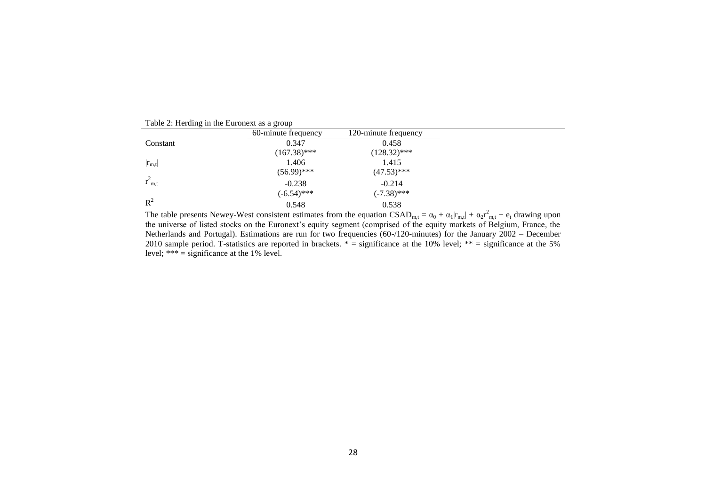|             | raone 2. Hereing in the Buronest as a group |                      |  |
|-------------|---------------------------------------------|----------------------|--|
|             | 60-minute frequency                         | 120-minute frequency |  |
| Constant    | 0.347                                       | 0.458                |  |
|             | $(167.38)$ ***                              | $(128.32)$ ***       |  |
| $ r_{m,t} $ | 1.406                                       | 1.415                |  |
|             | $(56.99)$ ***                               | $(47.53)$ ***        |  |
| $r_{m,t}$   | $-0.238$                                    | $-0.214$             |  |
|             | $(-6.54)$ ***                               | $(-7.38)$ ***        |  |
| $R^2$       | 0.548                                       | 0.538                |  |

Table 2: Herding in the Euronext as a group

The table presents Newey-West consistent estimates from the equation  $\text{CSAD}_{m,t} = \alpha_0 + \alpha_1 |r_{m,t}| + \alpha_2 r_{m,t}^2 + e_t$  drawing upon the universe of listed stocks on the Euronext's equity segment (comprised of the equity markets of Belgium, France, the Netherlands and Portugal). Estimations are run for two frequencies (60-/120-minutes) for the January 2002 – December 2010 sample period. T-statistics are reported in brackets.  $* =$  significance at the 10% level;  $** =$  significance at the 5% level;  $*** =$  significance at the 1% level.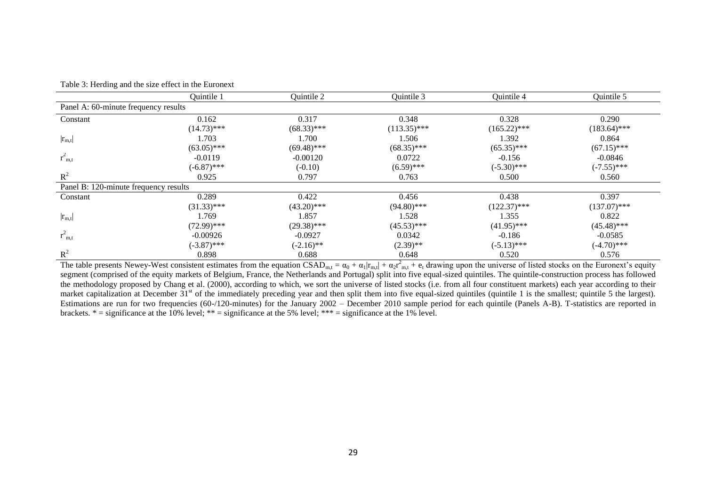|                                       | Quintile 1    | Quintile 2    | Quintile 3     | Quintile 4     | Quintile 5     |
|---------------------------------------|---------------|---------------|----------------|----------------|----------------|
| Panel A: 60-minute frequency results  |               |               |                |                |                |
| Constant                              | 0.162         | 0.317         | 0.348          | 0.328          | 0.290          |
|                                       | $(14.73)$ *** | $(68.33)$ *** | $(113.35)$ *** | $(165.22)$ *** | $(183.64)$ *** |
| $ r_{m,t} $                           | 1.703         | 1.700         | 1.506          | 1.392          | 0.864          |
|                                       | $(63.05)$ *** | $(69.48)$ *** | $(68.35)$ ***  | $(65.35)$ ***  | $(67.15)$ ***  |
| $r_{m,t}^2$                           | $-0.0119$     | $-0.00120$    | 0.0722         | $-0.156$       | $-0.0846$      |
|                                       | $(-6.87)$ *** | $(-0.10)$     | $(6.59)$ ***   | $(-5.30)$ ***  | $(-7.55)$ ***  |
| $R^2$                                 | 0.925         | 0.797         | 0.763          | 0.500          | 0.560          |
| Panel B: 120-minute frequency results |               |               |                |                |                |
| Constant                              | 0.289         | 0.422         | 0.456          | 0.438          | 0.397          |
|                                       | $(31.33)$ *** | $(43.20)$ *** | $(94.80)$ ***  | $(122.37)$ *** | $(137.07)$ *** |
| $ r_{m,t} $                           | 1.769         | 1.857         | 1.528          | 1.355          | 0.822          |
|                                       | $(72.99)$ *** | $(29.38)$ *** | $(45.53)$ ***  | $(41.95)$ ***  | $(45.48)$ ***  |
| $r_{m,t}^2$                           | $-0.00926$    | $-0.0927$     | 0.0342         | $-0.186$       | $-0.0585$      |
|                                       | $(-3.87)$ *** | $(-2.16)$ **  | $(2.39)$ **    | $(-5.13)$ ***  | $(-4.70)$ ***  |
| $R^2$                                 | 0.898         | 0.688         | 0.648          | 0.520          | 0.576          |

The table presents Newey-West consistent estimates from the equation  $\text{CSAD}_{m,t} = \alpha_0 + \alpha_1 |r_{m,t}| + \alpha_2 r_{m,t}^2 + e_t$  drawing upon the universe of listed stocks on the Euronext's equity segment (comprised of the equity markets of Belgium, France, the Netherlands and Portugal) split into five equal-sized quintiles. The quintile-construction process has followed the methodology proposed by Chang et al. (2000), according to which, we sort the universe of listed stocks (i.e. from all four constituent markets) each year according to their market capitalization at December 31<sup>st</sup> of the immediately preceding year and then split them into five equal-sized quintiles (quintile 1 is the smallest; quintile 5 the largest). Estimations are run for two frequencies (60-/120-minutes) for the January 2002 – December 2010 sample period for each quintile (Panels A-B). T-statistics are reported in brackets.  $* =$  significance at the 10% level;  $** =$  significance at the 5% level;  $*** =$  significance at the 1% level.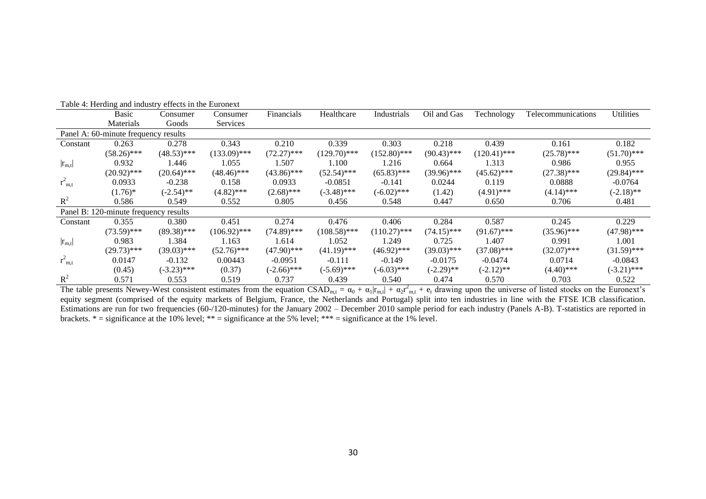|             | <b>Basic</b>                          | Consumer      | Consumer       | Financials    | Healthcare     | Industrials    | Oil and Gas   | Technology     | Telecommunications | Utilities     |
|-------------|---------------------------------------|---------------|----------------|---------------|----------------|----------------|---------------|----------------|--------------------|---------------|
|             | Materials                             | Goods         | Services       |               |                |                |               |                |                    |               |
|             | Panel A: 60-minute frequency results  |               |                |               |                |                |               |                |                    |               |
| Constant    | 0.263                                 | 0.278         | 0.343          | 0.210         | 0.339          | 0.303          | 0.218         | 0.439          | 0.161              | 0.182         |
|             | $(58.26)$ ***                         | $(48.53)$ *** | $(133.09)$ *** | $(72.27)$ *** | $(129.70)$ *** | $(152.80)$ *** | $(90.43)$ *** | $(120.41)$ *** | $(25.78)$ ***      | $(51.70)$ *** |
| $ r_{m,t} $ | 0.932                                 | 1.446         | 1.055          | 1.507         | 1.100          | 1.216          | 0.664         | 1.313          | 0.986              | 0.955         |
|             | $(20.92)$ ***                         | $(20.64)$ *** | $(48.46)$ ***  | $(43.86)$ *** | $(52.54)$ ***  | $(65.83)$ ***  | $(39.96)$ *** | $(45.62)$ ***  | $(27.38)$ ***      | $(29.84)$ *** |
| $r_{m,t}^2$ | 0.0933                                | $-0.238$      | 0.158          | 0.0933        | $-0.0851$      | $-0.141$       | 0.0244        | 0.119          | 0.0888             | $-0.0764$     |
|             | $(1.76)^*$                            | $(-2.54)$ **  | $(4.82)$ ***   | $(2.68)$ ***  | $(-3.48)$ ***  | $(-6.02)$ ***  | (1.42)        | $(4.91)$ ***   | $(4.14)$ ***       | $(-2.18)$ **  |
| $R^2$       | 0.586                                 | 0.549         | 0.552          | 0.805         | 0.456          | 0.548          | 0.447         | 0.650          | 0.706              | 0.481         |
|             | Panel B: 120-minute frequency results |               |                |               |                |                |               |                |                    |               |
| Constant    | 0.355                                 | 0.380         | 0.451          | 0.274         | 0.476          | 0.406          | 0.284         | 0.587          | 0.245              | 0.229         |
|             | $(73.59)$ ***                         | $(89.38)$ *** | $(106.92)$ *** | $(74.89)$ *** | $(108.58)$ *** | $(110.27)$ *** | $(74.15)$ *** | $(91.67)$ ***  | $(35.96)$ ***      | $(47.98)$ *** |
| $ r_{m,t} $ | 0.983                                 | 1.384         | 1.163          | 1.614         | 1.052          | 1.249          | 0.725         | 1.407          | 0.991              | 1.001         |
|             | $(29.73)$ ***                         | $(39.03)$ *** | $(52.76)$ ***  | $(47.90)$ *** | $(41.19)$ ***  | $(46.92)$ ***  | $(39.03)$ *** | $(37.08)$ ***  | $(32.07)$ ***      | $(31.59)$ *** |
| $r_{m,t}^2$ | 0.0147                                | $-0.132$      | 0.00443        | $-0.0951$     | $-0.111$       | $-0.149$       | $-0.0175$     | $-0.0474$      | 0.0714             | $-0.0843$     |
|             | (0.45)                                | $(-3.23)$ *** | (0.37)         | $(-2.66)$ *** | $(-5.69)$ ***  | $(-6.03)$ ***  | $(-2.29)$ **  | $(-2.12)$ **   | $(4.40)$ ***       | $(-3.21)$ *** |
| $R^2$       | 0.571                                 | 0.553         | 0.519          | 0.737         | 0.439          | 0.540          | 0.474         | 0.570          | 0.703              | 0.522         |

Table 4: Herding and industry effects in the Euronext

The table presents Newey-West consistent estimates from the equation  $\text{CSAD}_{m,t} = \alpha_0 + \alpha_1 |r_{m,t}| + \alpha_2 r_{m,t}^2 + e_t$  drawing upon the universe of listed stocks on the Euronext's equity segment (comprised of the equity markets of Belgium, France, the Netherlands and Portugal) split into ten industries in line with the FTSE ICB classification. Estimations are run for two frequencies (60-/120-minutes) for the January 2002 – December 2010 sample period for each industry (Panels A-B). T-statistics are reported in brackets.  $* =$  significance at the 10% level;  $** =$  significance at the 5% level;  $*** =$  significance at the 1% level.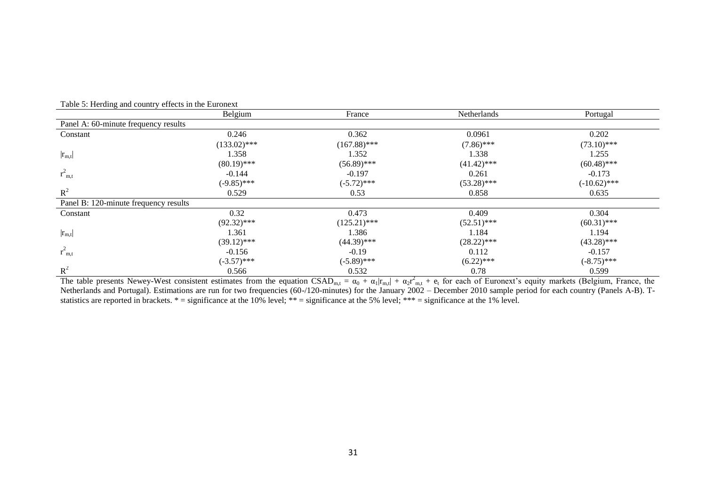|                                                        | Belgium        | France         | Netherlands   | Portugal       |
|--------------------------------------------------------|----------------|----------------|---------------|----------------|
| Panel A: 60-minute frequency results                   |                |                |               |                |
| Constant                                               | 0.246          | 0.362          | 0.0961        | 0.202          |
|                                                        | $(133.02)$ *** | $(167.88)$ *** | $(7.86)$ ***  | $(73.10)$ ***  |
| $ r_{m,t} $                                            | 1.358          | 1.352          | 1.338         | 1.255          |
|                                                        | $(80.19)$ ***  | $(56.89)$ ***  | $(41.42)$ *** | $(60.48)$ ***  |
| $r_{m,t}^2$                                            | $-0.144$       | $-0.197$       | 0.261         | $-0.173$       |
|                                                        | $(-9.85)$ ***  | $(-5.72)$ ***  | $(53.28)$ *** | $(-10.62)$ *** |
| $R^2$                                                  | 0.529          | 0.53           | 0.858         | 0.635          |
| Panel B: 120-minute frequency results                  |                |                |               |                |
| Constant                                               | 0.32           | 0.473          | 0.409         | 0.304          |
|                                                        | $(92.32)$ ***  | $(125.21)$ *** | $(52.51)$ *** | $(60.31)$ ***  |
| $\left  {{{\mathbf{r}}_{\text{m},\text{t}}} } \right $ | 1.361          | 1.386          | 1.184         | 1.194          |
|                                                        | $(39.12)$ ***  | $(44.39)$ ***  | $(28.22)$ *** | $(43.28)$ ***  |
| $r_{m,t}^2$                                            | $-0.156$       | $-0.19$        | 0.112         | $-0.157$       |
|                                                        | $(-3.57)$ ***  | $(-5.89)$ ***  | $(6.22)$ ***  | $(-8.75)$ ***  |
| $R^2$                                                  | 0.566          | 0.532          | 0.78          | 0.599          |

Table 5: Herding and country effects in the Euronext

The table presents Newey-West consistent estimates from the equation  $\text{CSAD}_{m,t} = \alpha_0 + \alpha_1 |r_{m,t}| + \alpha_2 r_{m,t}^2 + e_t$  for each of Euronext's equity markets (Belgium, France, the Netherlands and Portugal). Estimations are run for two frequencies (60-/120-minutes) for the January 2002 – December 2010 sample period for each country (Panels A-B). Tstatistics are reported in brackets.  $* =$  significance at the 10% level;  $** =$  significance at the 5% level;  $*** =$  significance at the 1% level.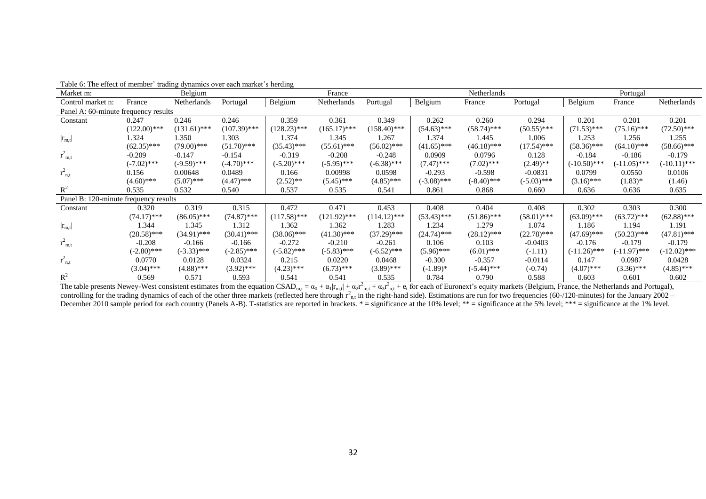| Market m:                             |                | Belgium        |                |                | France         |                |               | Netherlands   |               |                | Portugal       |                |
|---------------------------------------|----------------|----------------|----------------|----------------|----------------|----------------|---------------|---------------|---------------|----------------|----------------|----------------|
| Control market n:                     | France         | Netherlands    | Portugal       | Belgium        | Netherlands    | Portugal       | Belgium       | France        | Portugal      | Belgium        | France         | Netherlands    |
| Panel A: 60-minute frequency results  |                |                |                |                |                |                |               |               |               |                |                |                |
| Constant                              | 0.247          | 0.246          | 0.246          | 0.359          | 0.361          | 0.349          | 0.262         | 0.260         | 0.294         | 0.201          | 0.201          | 0.201          |
|                                       | $(122.00)$ *** | $(131.61)$ *** | $(107.39)$ *** | $(128.23)$ *** | $(165.17)$ *** | $(158.40)$ *** | $(54.63)$ *** | $(58.74)$ *** | $(50.55)$ *** | $(71.53)$ ***  | $(75.16)$ ***  | $(72.50)$ ***  |
| $ r_{m,t} $                           | 1.324          | 1.350          | 1.303          | 1.374          | 1.345          | 1.267          | 1.374         | 1.445         | 1.006         | 1.253          | 1.256          | 1.255          |
|                                       | $(62.35)$ ***  | $(79.00)$ ***  | $(51.70)$ ***  | $(35.43)$ ***  | $(55.61)$ ***  | $(56.02)$ ***  | $(41.65)$ *** | $(46.18)$ *** | $(17.54)$ *** | $(58.36)$ ***  | $(64.10)$ ***  | $(58.66)$ ***  |
| $r_{m,t}^2$                           | $-0.209$       | $-0.147$       | $-0.154$       | $-0.319$       | $-0.208$       | $-0.248$       | 0.0909        | 0.0796        | 0.128         | $-0.184$       | $-0.186$       | $-0.179$       |
|                                       | $(-7.02)$ ***  | $(-9.59)$ ***  | $(-4.70)$ ***  | $(-5.20)$ ***  | $(-5.95)$ ***  | $(-6.38)$ ***  | $(7.47)$ ***  | $(7.02)$ ***  | $(2.49)$ **   | $(-10.50)$ *** | $(-11.05)$ *** | $(-10.11)$ *** |
| $r_{n,t}^2$                           | 0.156          | 0.00648        | 0.0489         | 0.166          | 0.00998        | 0.0598         | $-0.293$      | $-0.598$      | $-0.0831$     | 0.0799         | 0.0550         | 0.0106         |
|                                       | $(4.60)$ ***   | $(5.07)$ ***   | $(4.47)$ ***   | $(2.52)$ **    | $(5.45)$ ***   | $(4.85)$ ***   | $(-3.08)$ *** | $(-8.40)$ *** | $(-5.03)$ *** | $(3.16)$ ***   | $(1.83)*$      | (1.46)         |
| $\mathbb{R}^2$                        | 0.535          | 0.532          | 0.540          | 0.537          | 0.535          | 0.541          | 0.861         | 0.868         | 0.660         | 0.636          | 0.636          | 0.635          |
| Panel B: 120-minute frequency results |                |                |                |                |                |                |               |               |               |                |                |                |
| Constant                              | 0.320          | 0.319          | 0.315          | 0.472          | 0.471          | 0.453          | 0.408         | 0.404         | 0.408         | 0.302          | 0.303          | 0.300          |
|                                       | $(74.17)$ ***  | $(86.05)$ ***  | $(74.87)$ ***  | $(117.58)$ *** | $(121.92)$ *** | $(114.12)$ *** | $(53.43)$ *** | $(51.86)$ *** | $(58.01)$ *** | $(63.09)$ ***  | $(63.72)$ ***  | $(62.88)$ ***  |
| $ r_{m,t} $                           | 1.344          | 1.345          | 1.312          | 1.362          | 1.362          | 1.283          | 1.234         | 1.279         | 1.074         | 1.186          | 1.194          | 1.191          |
|                                       | $(28.58)$ ***  | $(34.91)$ ***  | $(30.41)$ ***  | $(38.06)$ ***  | $(41.30)$ ***  | $(37.29)$ ***  | $(24.74)$ *** | $(28.12)$ *** | $(22.78)$ *** | $(47.69)$ ***  | $(50.23)$ ***  | $(47.81)$ ***  |
| $r_{m,t}^2$                           | $-0.208$       | $-0.166$       | $-0.166$       | $-0.272$       | $-0.210$       | $-0.261$       | 0.106         | 0.103         | $-0.0403$     | $-0.176$       | $-0.179$       | $-0.179$       |
|                                       | $(-2.80)$ ***  | $(-3.33)$ ***  | $(-2.85)$ ***  | $(-5.82)$ ***  | $(-5.83)$ ***  | $(-6.52)$ ***  | $(5.96)$ ***  | $(6.01)$ ***  | $(-1.11)$     | $(-11.26)$ *** | $(-11.97)$ *** | $(-12.02)$ *** |
| $r_{n,t}^2$                           | 0.0770         | 0.0128         | 0.0324         | 0.215          | 0.0220         | 0.0468         | $-0.300$      | $-0.357$      | $-0.0114$     | 0.147          | 0.0987         | 0.0428         |
|                                       | $(3.04)$ ***   | $(4.88)$ ***   | $(3.92)$ ***   | $(4.23)$ ***   | $(6.73)$ ***   | $(3.89)$ ***   | $(-1.89)*$    | $(-5.44)$ *** | $(-0.74)$     | $(4.07)$ ***   | $(3.36)$ ***   | $(4.85)$ ***   |
| $R^2$                                 | 0.569          | 0.571          | 0.593          | 0.541          | 0.541          | 0.535          | 0.784         | 0.790         | 0.588         | 0.603          | 0.601          | 0.602          |

Table 6: The effect of member' trading dynamics over each market's herding

The table presents Newey-West consistent estimates from the equation CSAD<sub>m,t</sub> =  $\alpha_0 + \alpha_1 |r_{m,t}| + \alpha_2 r_{m,t}^2 + \alpha_3 r_{n,t}^2 + e_t$  for each of Euronext's equity markets (Belgium, France, the Netherlands and Portugal), controlling for the trading dynamics of each of the other three markets (reflected here through  $r_{n,t}^2$  in the right-hand side). Estimations are run for two frequencies (60-/120-minutes) for the January 2002 – December 2010 sample period for each country (Panels A-B). T-statistics are reported in brackets. \* = significance at the 10% level; \*\* = significance at the 5% level; \*\*\* = significance at the 1% level.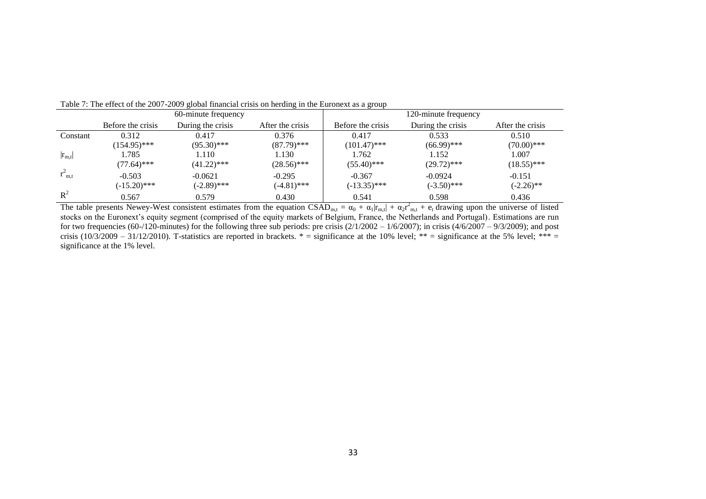|             |                   | 60-minute frequency |                  |                   | 120-minute frequency |                  |
|-------------|-------------------|---------------------|------------------|-------------------|----------------------|------------------|
|             | Before the crisis | During the crisis   | After the crisis | Before the crisis | During the crisis    | After the crisis |
| Constant    | 0.312             | 0.417               | 0.376            | 0.417             | 0.533                | 0.510            |
|             | $(154.95)$ ***    | $(95.30)$ ***       | $(87.79)$ ***    | $(101.47)$ ***    | $(66.99)$ ***        | $(70.00)$ ***    |
| $ r_{m,t} $ | 1.785             | 1.110               | .130             | 1.762             | 1.152                | 1.007            |
|             | $(77.64)$ ***     | $(41.22)$ ***       | $(28.56)$ ***    | $(55.40)$ ***     | $(29.72)$ ***        | $(18.55)$ ***    |
| $r_{m,t}$   | $-0.503$          | $-0.0621$           | $-0.295$         | $-0.367$          | $-0.0924$            | $-0.151$         |
|             | $(-15.20)$ ***    | $(-2.89)$ ***       | $(-4.81)$ ***    | $(-13.35)$ ***    | $(-3.50)$ ***        | $(-2.26)$ **     |
| $R^2$       | 0.567             | 0.579               | 0.430            | 0.541             | 0.598                | 0.436            |

Table 7: The effect of the 2007-2009 global financial crisis on herding in the Euronext as a group

The table presents Newey-West consistent estimates from the equation  $\text{CSAD}_{m,t} = \alpha_0 + \alpha_1 |r_{m,t}| + \alpha_2 r_{m,t}^2 + e_t$  drawing upon the universe of listed stocks on the Euronext's equity segment (comprised of the equity markets of Belgium, France, the Netherlands and Portugal). Estimations are run for two frequencies (60-/120-minutes) for the following three sub periods: pre crisis  $(2/1/2002 - 1/6/2007)$ ; in crisis  $(4/6/2007 - 9/3/2009)$ ; and post crisis (10/3/2009 – 31/12/2010). T-statistics are reported in brackets.  $* =$  significance at the 10% level;  $** =$  significance at the 5% level;  $*** =$ significance at the 1% level.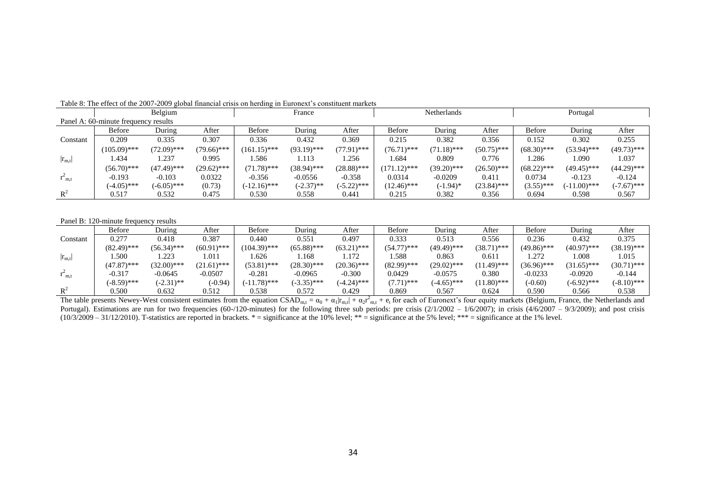|                |                                      | Belgium       |               |                | France        |               |                | <b>Netherlands</b> |               | Portugal      |                |               |
|----------------|--------------------------------------|---------------|---------------|----------------|---------------|---------------|----------------|--------------------|---------------|---------------|----------------|---------------|
|                | Panel A: 60-minute frequency results |               |               |                |               |               |                |                    |               |               |                |               |
|                | <b>Before</b>                        | During        | After         | Before         | During        | After         | <b>Before</b>  | During             | After         | <b>Before</b> | During         | After         |
| Constant       | 0.209                                | 0.335         | 0.307         | 0.336          | 0.432         | 0.369         | 0.215          | 0.382              | 0.356         | 0.152         | 0.302          | 0.255         |
|                | $(105.09)$ ***                       | $(72.09)$ *** | $(79.66)$ *** | $(161.15)$ *** | $(93.19)$ *** | $(77.91)$ *** | $(76.71)$ ***  | $(71.18)$ ***      | $(50.75)$ *** | $(68.30)$ *** | $(53.94)$ ***  | $(49.73)$ *** |
| $ r_{m,t} $    | 1.434                                | 1.237         | 0.995         | .586           | 1.113         | . 256         | .684           | 0.809              | 0.776         | 1.286         | 1.090          | 1.037         |
|                | $(56.70)$ ***                        | $(47.49)$ *** | $(29.62)$ *** | $(71.78)$ ***  | $(38.94)$ *** | $(28.88)$ *** | $(171.12)$ *** | $(39.20)$ ***      | $(26.50)$ *** | $(68.22)$ *** | $(49.45)$ ***  | $(44.29)$ *** |
| $r_{m,t}$      | $-0.193$                             | $-0.103$      | 0.0322        | $-0.356$       | $-0.0556$     | $-0.358$      | 0.0314         | $-0.0209$          | 0.411         | 0.0734        | $-0.123$       | $-0.124$      |
|                | $(-4.05)$ ***                        | $(-6.05)$ *** | (0.73)        | $(-12.16)$ *** | $(-2.37)$ **  | $(-5.22)$ *** | $(12.46)$ ***  | $(-1.94)$ *        | $(23.84)$ *** | $(3.55)$ ***  | $(-11.00)$ *** | $(-7.67)$ *** |
| $\mathbb{R}^2$ | 0.517                                | 0.532         | 0.475         | 0.530          | 0.558         | 0.441         | 0.215          | 0.382              | 0.356         | 0.694         | 0.598          | 0.567         |

Table 8: The effect of the 2007-2009 global financial crisis on herding in Euronext's constituent markets

#### Panel B: 120-minute frequency results

|              | <b>Before</b> | During        | After         | <b>Before</b>  | During        | After         | <b>Before</b> | During        | After         | <b>Before</b> | During        | After         |
|--------------|---------------|---------------|---------------|----------------|---------------|---------------|---------------|---------------|---------------|---------------|---------------|---------------|
| Constant     | 0.277         | 0.418         | 0.387         | 0.440          | 0.551         | 0.497         | 0.333         | 0.513         | 0.556         | 0.236         | 0.432         | 0.375         |
|              | $(82.49)$ *** | $(56.34)$ *** | $(60.91)$ *** | $(104.39)$ *** | $(65.88)$ *** | $(63.21)$ *** | $(54.77)$ *** | $(49.49)$ *** | $(38.71)$ *** | $(49.86)$ *** | (40.97)***    | $(38.19)$ *** |
| $ r_{m,t} $  | 1.500         | 1.223         | 1.011         | . 626          | .168          | 1.172         | .588          | 0.863         | 0.611         | 1.272         | 0.008         | 1.015         |
|              | $(47.87)$ *** | $(32.00)$ *** | $(21.61)$ *** | $(53.81)$ ***  | $(28.30)$ *** | $(20.36)$ *** | (82.99)***    | $(29.02)$ *** | $(11.49)$ *** | $(36.96)$ *** | $(31.65)$ *** | $(30.71)$ *** |
| $\Gamma$ m.t | $-0.317$      | $-0.0645$     | $-0.0507$     | $-0.281$       | $-0.0965$     | $-0.300$      | 0.0429        | $-0.0575$     | 0.380         | $-0.0233$     | $-0.0920$     | $-0.144$      |
|              | $(-8.59)$ *** | $(-2.31)$ **  | $(-0.94)$     | $(-11.78)$ *** | $(-3.35)$ *** | $(-4.24)$ *** | $(7.71)$ ***  | $(-4.65)$ *** | $(11.80)$ *** | $(-0.60)$     | $(-6.92)$ *** | $(-8.10)$ *** |
| $R^2$        | 0.500         | 0.632         | 0.512         | 0.538          | 0.572         | 0.429         | 0.869         | 0.567         | 0.624         | 0.590         | 0.566         | 0.538         |

The table presents Newey-West consistent estimates from the equation  $\text{CSAD}_{m,t} = \alpha_0 + \alpha_1 |r_{m,t}| + \alpha_2 r_{m,t}^2 + e_t$  for each of Euronext's four equity markets (Belgium, France, the Netherlands and Portugal). Estimations are run for two frequencies (60-/120-minutes) for the following three sub periods: pre crisis  $(2/1/2002 - 1/6/2007)$ ; in crisis  $(4/6/2007 - 9/3/2009)$ ; and post crisis  $(10/3/2009 - 31/12/2010)$ . T-statistics are reported in brackets. \* = significance at the 10% level; \*\* = significance at the 5% level; \*\*\* = significance at the 1% level.